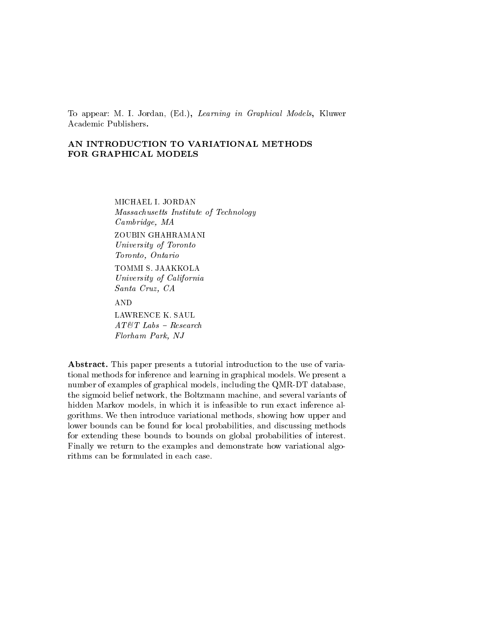To appear: M. I. Jordan, (Ed.), Learning in Graphical Models, Kluwer Academic Publishers.

# AN INTRODUCTION TO VARIATIONAL METHODS FOR GRAPHICAL MODELS

MICHAEL I. JORDAN Massachusetts Institute of Technology Cambridge, MA

ZOUBIN GHAHRAMANI University of Toronto Toronto, Ontario

TOMMI S. JAAKKOLA University of California Santa Cruz, CA

AND

LAWRENCE K. SAUL  $AT\&T$  Labs - Research Florham Park, NJ

Abstract. This paper presents a tutorial introduction to the use of variational methods for inference and learning in graphical models. We present a number of examples of graphical models, including the QMR-DT database, the sigmoid belief network, the Boltzmann machine, and several variants of hidden Markov models, in which it is infeasible to run exact inference algorithms. We then introduce variational methods, showing how upper and lower bounds can be found for local probabilities, and discussing methods for extending these bounds to bounds on global probabilities of interest. Finally we return to the examples and demonstrate how variational algorithms can be formulated in each case.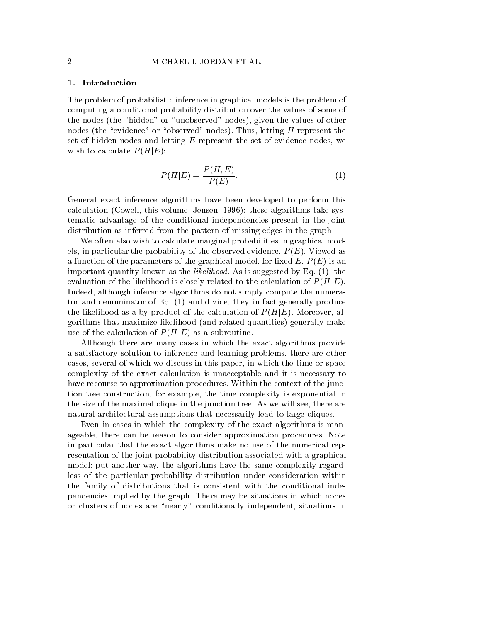# 1. Introduction

The problem of probabilistic inference in graphical models is the problem of computing a conditional probability distribution over the values of some of the nodes (the "hidden" or "unobserved" nodes), given the values of other nodes (the "evidence" or "observed" nodes). Thus, letting  $H$  represent the set of hidden nodes and letting E represent the set of evidence nodes, we wish to calculate  $P(H|E)$ :

$$
P(H|E) = \frac{P(H, E)}{P(E)}.\t(1)
$$

General exact inference algorithms have been developed to perform this calculation (Cowell, this volume; Jensen, 1996); these algorithms take systematic advantage of the conditional independencies present in the joint distribution as inferred from the pattern of missing edges in the graph.

We often also wish to calculate marginal probabilities in graphical models, in particular the probability of the observed evidence,  $P(E)$ . Viewed as a function of the parameters of the graphical model, for fixed  $E, P(E)$  is an important quantity known as the *likelihood*. As is suggested by Eq.  $(1)$ , the evaluation of the likelihood is closely related to the calculation of  $P(H|E)$ . Indeed, although inference algorithms do not simply compute the numerator and denominator of Eq. (1) and divide, they in fact generally produce the likelihood as a by-product of the calculation of  $P(H|E)$ . Moreover, algorithms that maximize likelihood (and related quantities) generally make use of the calculation of  $P(H|E)$  as a subroutine.

Although there are many cases in which the exact algorithms provide a satisfactory solution to inference and learning problems, there are other cases, several of which we discuss in this paper, in which the time or space complexity of the exact calculation is unacceptable and it is necessary to have recourse to approximation procedures. Within the context of the junction tree construction, for example, the time complexity is exponential in the size of the maximal clique in the junction tree. As we will see, there are natural architectural assumptions that necessarily lead to large cliques.

Even in cases in which the complexity of the exact algorithms is manageable, there can be reason to consider approximation procedures. Note in particular that the exact algorithms make no use of the numerical representation of the joint probability distribution associated with a graphical model; put another way, the algorithms have the same complexity regardless of the particular probability distribution under consideration within the family of distributions that is consistent with the conditional independencies implied by the graph. There may be situations in which nodes or clusters of nodes are "nearly" conditionally independent, situations in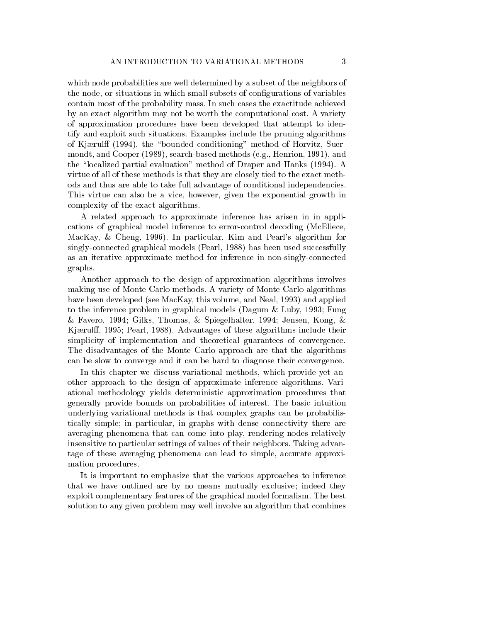which node probabilities are well determined by a subset of the neighbors of the node, or situations in which small subsets of congurations of variables contain most of the probability mass. In such cases the exactitude achieved by an exact algorithm may not be worth the computational cost. A variety of approximation procedures have been developed that attempt to identify and exploit such situations. Examples include the pruning algorithms of Kjærulff (1994), the "bounded conditioning" method of Horvitz, Suermondt, and Cooper (1989), search-based methods (e.g., Henrion, 1991), and the "localized partial evaluation" method of Draper and Hanks (1994). A virtue of all of these methods is that they are closely tied to the exact methods and thus are able to take full advantage of conditional independencies. This virtue can also be a vice, however, given the exponential growth in complexity of the exact algorithms.

A related approach to approximate inference has arisen in in applications of graphical model inference to error-control decoding (McEliece, MacKay, & Cheng, 1996). In particular, Kim and Pearl's algorithm for singly-connected graphical models (Pearl, 1988) has been used successfully as an iterative approximate method for inference in non-singly-connected graphs.

Another approach to the design of approximation algorithms involves making use of Monte Carlo methods. A variety of Monte Carlo algorithms have been developed (see MacKay, this volume, and Neal, 1993) and applied to the inference problem in graphical models (Dagum & Luby, 1993; Fung & Favero, 1994; Gilks, Thomas, & Spiegelhalter, 1994; Jensen, Kong, & Kjærulff, 1995; Pearl, 1988). Advantages of these algorithms include their simplicity of implementation and theoretical guarantees of convergence. The disadvantages of the Monte Carlo approach are that the algorithms can be slow to converge and it can be hard to diagnose their convergence.

In this chapter we discuss variational methods, which provide yet another approach to the design of approximate inference algorithms. Variational methodology yields deterministic approximation procedures that generally provide bounds on probabilities of interest. The basic intuition underlying variational methods is that complex graphs can be probabilistically simple; in particular, in graphs with dense connectivity there are averaging phenomena that can come into play, rendering nodes relatively insensitive to particular settings of values of their neighbors. Taking advantage of these averaging phenomena can lead to simple, accurate approximation procedures.

It is important to emphasize that the various approaches to inference that we have outlined are by no means mutually exclusive; indeed they exploit complementary features of the graphical model formalism. The best solution to any given problem may well involve an algorithm that combines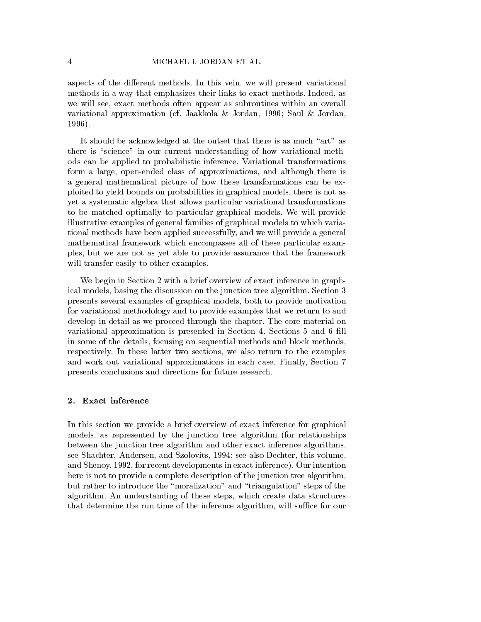aspects of the different methods. In this vein, we will present variational methods in a way that emphasizes their links to exact methods. Indeed, as we will see, exact methods often appear as subroutines within an overall variational approximation (cf. Jaakkola & Jordan, 1996; Saul & Jordan, 1996).

It should be acknowledged at the outset that there is as much "art" as there is "science" in our current understanding of how variational methods can be applied to probabilistic inference. Variational transformations form a large, open-ended class of approximations, and although there is a general mathematical picture of how these transformations can be exploited to yield bounds on probabilities in graphical models, there is not as yet a systematic algebra that allows particular variational transformations to be matched optimally to particular graphical models. We will provide illustrative examples of general families of graphical models to which variational methods have been applied successfully, and we will provide a general mathematical framework which encompasses all of these particular examples, but we are not as yet able to provide assurance that the framework will transfer easily to other examples.

We begin in Section 2 with a brief overview of exact inference in graphical models, basing the discussion on the junction tree algorithm. Section 3 presents several examples of graphical models, both to provide motivation for variational methodology and to provide examples that we return to and develop in detail as we proceed through the chapter. The core material on variational approximation is presented in Section 4. Sections 5 and 6 fill in some of the details, focusing on sequential methods and block methods, respectively. In these latter two sections, we also return to the examples and work out variational approximations in each case. Finally, Section 7 presents conclusions and directions for future research.

# 2. Exact inference

In this section we provide a brief overview of exact inference for graphical models, as represented by the junction tree algorithm (for relationships between the junction tree algorithm and other exact inference algorithms, see Shachter, Andersen, and Szolovits, 1994; see also Dechter, this volume, and Shenoy, 1992, for recent developments in exact inference). Our intention here is not to provide a complete description of the junction tree algorithm, but rather to introduce the \moralization" and \triangulation" steps of the algorithm. An understanding of these steps, which create data structures that determine the run time of the inference algorithm, will suffice for our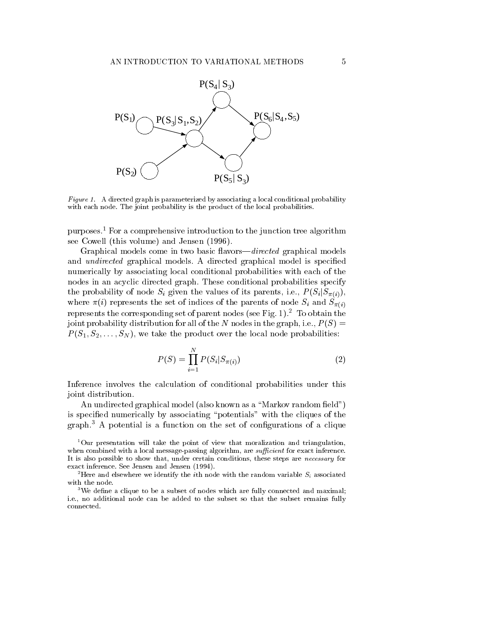

Figure 1. A directed graph is parameterized by associating a local conditional probability with each node. The joint probability is the product of the local probabilities.

purposes.<sup>1</sup> For a comprehensive introduction to the junction tree algorithm see Cowell (this volume) and Jensen (1996).

Graphical models come in two basic flavors—*directed* graphical models and undirected graphical models. A directed graphical model is specied numerically by associating local conditional probabilities with each of the nodes in an acyclic directed graph. These conditional probabilities specify the probability of node  $S_i$  given the values of its parents, i.e.,  $P(S_i|S_{\pi(i)})$ , where  $\pi(i)$  represents the set of indices of the parents of node  $S_i$  and  $\hat{S}_{\pi(i)}$ represents the corresponding set of parent nodes (see Fig. 1).<sup>2</sup> To obtain the joint probability distribution for all of the N nodes in the graph, i.e.,  $P(S)$  =  $P(S_1, S_2, \ldots, S_N)$ , we take the product over the local node probabilities:

$$
P(S) = \prod_{i=1}^{N} P(S_i | S_{\pi(i)})
$$
\n(2)

Inference involves the calculation of conditional probabilities under this joint distribution.

An undirected graphical model (also known as a "Markov random field") is specified numerically by associating "potentials" with the cliques of the graph.3 A potential is a function on the set of congurations of a clique

 $1$ Our presentation will take the point of view that moralization and triangulation, when combined with a local message-passing algorithm, are sufficient for exact inference. It is also possible to show that, under certain conditions, these steps are necessary for exact inference. See Jensen and Jensen (1994).

<sup>2</sup>Here and elsewhere we identify the *i*th node with the random variable  $S_i$  associated with the node.

<sup>3</sup>We define a clique to be a subset of nodes which are fully connected and maximal; i.e., no additional node can be added to the subset so that the subset remains fully connected.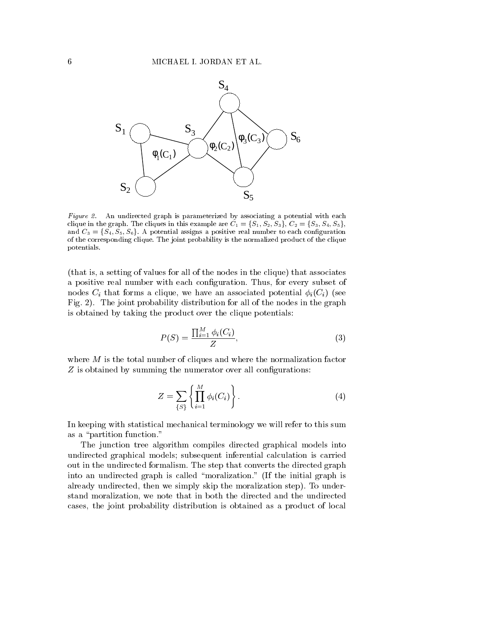

Figure 2. An undirected graph is parameterized by associating a potential with each clique in the graph. The cliques in this example are  $C_1 = \{S_1, S_2, S_3\}, C_2 = \{S_3, S_4, S_5\},$ and  $C_3 = \{S_4, S_5, S_6\}$ . A potential assigns a positive real number to each configuration of the corresponding clique. The joint probability is the normalized product of the clique potentials.

(that is, a setting of values for all of the nodes in the clique) that associates a positive real number with each conguration. Thus, for every subset of nodes  $C_i$  that forms a clique, we have an associated potential  $\phi_i(C_i)$  (see Fig. 2). The joint probability distribution for all of the nodes in the graph is obtained by taking the product over the clique potentials:

$$
P(S) = \frac{\prod_{i=1}^{M} \phi_i(C_i)}{Z},\tag{3}
$$

where M is the total number of cliques and where the normalization factor  $Z$  is obtained by summing the numerator over all configurations:

$$
Z = \sum_{\{S\}} \left\{ \prod_{i=1}^{M} \phi_i(C_i) \right\}.
$$
 (4)

In keeping with statistical mechanical terminology we will refer to this sum as a "partition function."

The junction tree algorithm compiles directed graphical models into undirected graphical models; subsequent inferential calculation is carried out in the undirected formalism. The step that converts the directed graph into an undirected graph is called "moralization." (If the initial graph is already undirected, then we simply skip the moralization step). To understand moralization, we note that in both the directed and the undirected cases, the joint probability distribution is obtained as a product of local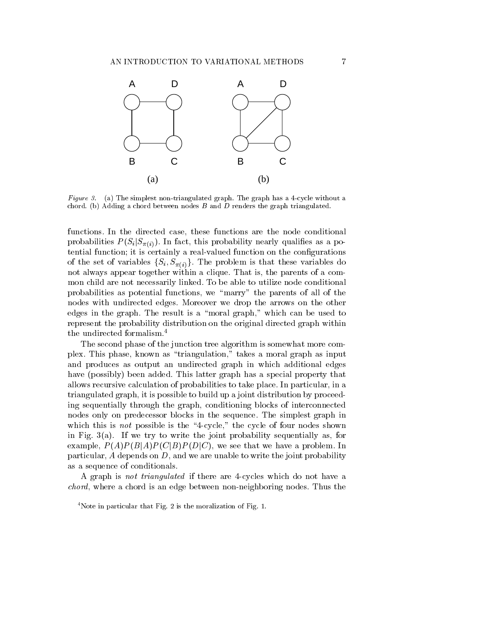

Figure 3. (a) The simplest non-triangulated graph. The graph has a 4-cycle without a chord. (b) Adding a chord between nodes  $B$  and  $D$  renders the graph triangulated.

functions. In the directed case, these functions are the node conditional probabilities  $P(S_i|S_{\pi(i)})$ . In fact, this probability nearly qualifies as a potential function; it is certainly a real-valued function on the congurations of the set of variables  $\{S_i, S_{\pi(i)}\}$ . The problem is that these variables do not always appear together within a clique. That is, the parents of a common child are not necessarily linked. To be able to utilize node conditional probabilities as potential functions, we \marry" the parents of all of the nodes with undirected edges. Moreover we drop the arrows on the other edges in the graph. The result is a \moral graph," which can be used to represent the probability distribution on the original directed graph within the undirected formalism.4

The second phase of the junction tree algorithm is somewhat more complex. This phase, known as \triangulation," takes a moral graph as input and produces as output an undirected graph in which additional edges have (possibly) been added. This latter graph has a special property that allows recursive calculation of probabilities to take place. In particular, in a triangulated graph, it is possible to build up a joint distribution by proceeding sequentially through the graph, conditioning blocks of interconnected nodes only on predecessor blocks in the sequence. The simplest graph in which this is not possible is the "4-cycle," the cycle of four nodes shown in Fig.  $3(a)$ . If we try to write the joint probability sequentially as, for example,  $P(A)P(B|A)P(C|B)P(D|C)$ , we see that we have a problem. In particular, A depends on  $D$ , and we are unable to write the joint probability as a sequence of conditionals.

A graph is not triangulated if there are 4-cycles which do not have a chord, where a chord is an edge between non-neighboring nodes. Thus the

 $4$ Note in particular that Fig. 2 is the moralization of Fig. 1.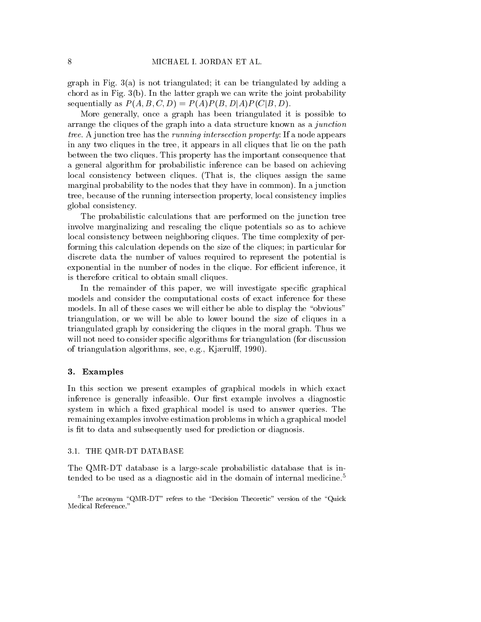graph in Fig.  $3(a)$  is not triangulated; it can be triangulated by adding a chord as in Fig. 3(b). In the latter graph we can write the joint probability sequentially as  $P(A, B, C, D) = P(A)P(B, D|A)P(C|B, D).$ 

More generally, once a graph has been triangulated it is possible to arrange the cliques of the graph into a data structure known as a junction tree. A junction tree has the running intersection property: If a node appears in any two cliques in the tree, it appears in all cliques that lie on the path between the two cliques. This property has the important consequence that a general algorithm for probabilistic inference can be based on achieving local consistency between cliques. (That is, the cliques assign the same marginal probability to the nodes that they have in common). In a junction tree, because of the running intersection property, local consistency implies global consistency.

The probabilistic calculations that are performed on the junction tree involve marginalizing and rescaling the clique potentials so as to achieve local consistency between neighboring cliques. The time complexity of performing this calculation depends on the size of the cliques; in particular for discrete data the number of values required to represent the potential is exponential in the number of nodes in the clique. For efficient inference, it is therefore critical to obtain small cliques.

In the remainder of this paper, we will investigate specific graphical models and consider the computational costs of exact inference for these models. In all of these cases we will either be able to display the "obvious" triangulation, or we will be able to lower bound the size of cliques in a triangulated graph by considering the cliques in the moral graph. Thus we will not need to consider specific algorithms for triangulation (for discussion of triangulation algorithms, see, e.g., Kjærulff, 1990).

# 3. Examples

In this section we present examples of graphical models in which exact inference is generally infeasible. Our first example involves a diagnostic system in which a fixed graphical model is used to answer queries. The remaining examples involve estimation problems in which a graphical model is fit to data and subsequently used for prediction or diagnosis.

#### 3.1. THE QMR-DT DATABASE

The QMR-DT database is a large-scale probabilistic database that is intended to be used as a diagnostic aid in the domain of internal medicine.<sup>5</sup>

 $5$ The acronym "QMR-DT" refers to the "Decision Theoretic" version of the "Quick Medical Reference."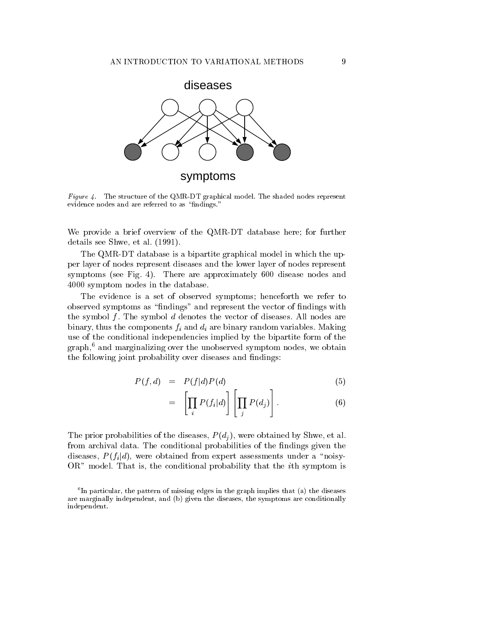

Figure 4. The structure of the QMR-DT graphical model. The shaded nodes represent evidence nodes and are referred to as "findings."

We provide a brief overview of the QMR-DT database here; for further details see Shwe, et al. (1991).

The QMR-DT database is a bipartite graphical model in which the upper layer of nodes represent diseases and the lower layer of nodes represent symptoms (see Fig. 4). There are approximately 600 disease nodes and 4000 symptom nodes in the database.

The evidence is a set of observed symptoms; henceforth we refer to observed symptoms as "findings" and represent the vector of findings with the symbol f. The symbol d denotes the vector of diseases. All nodes are binary, thus the components  $f_i$  and  $d_i$  are binary random variables. Making use of the conditional independencies implied by the bipartite form of the  $graph<sup>6</sup>$  and marginalizing over the unobserved symptom nodes, we obtain the following joint probability over diseases and findings:

$$
P(f,d) = P(f|d)P(d)
$$
\n(5)

$$
= \left[ \prod_i P(f_i|d) \right] \left[ \prod_j P(d_j) \right]. \tag{6}
$$

The prior probabilities of the diseases,  $P(d_i)$ , were obtained by Shwe, et al. from archival data. The conditional probabilities of the findings given the diseases,  $P(f_i|d)$ , were obtained from expert assessments under a "noisy-OR" model. That is, the conditional probability that the ith symptom is

<sup>6</sup> In particular, the pattern of missing edges in the graph implies that (a) the diseases are marginally independent, and (b) given the diseases, the symptoms are conditionally independent.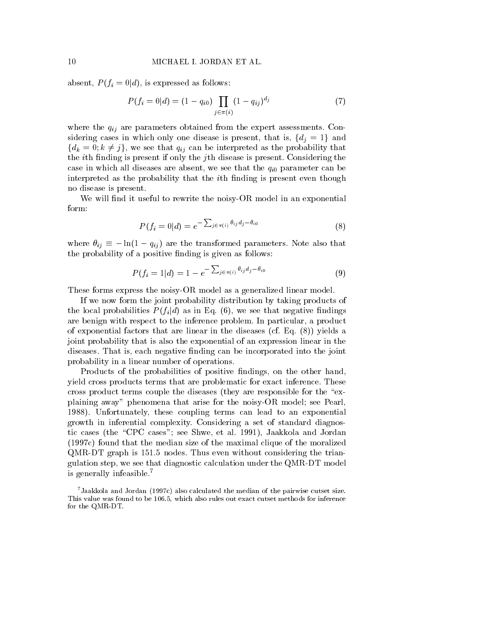absent,  $P(f_i = 0|d)$ , is expressed as follows:

$$
P(f_i = 0|d) = (1 - q_{i0}) \prod_{j \in \pi(i)} (1 - q_{ij})^{d_j} \tag{7}
$$

where the  $q_{ij}$  are parameters obtained from the expert assessments. Considering cases in which only one disease is present, that is,  $\{d_i = 1\}$  and  ${d_k = 0; k \neq j}$ , we see that  $q_{ij}$  can be interpreted as the probability that the  $i$ th finding is present if only the  $j$ th disease is present. Considering the case in which all diseases are absent, we see that the  $q_{i0}$  parameter can be interpreted as the probability that the *i*th finding is present even though no disease is present.

We will find it useful to rewrite the noisy-OR model in an exponential form:

$$
P(f_i = 0|d) = e^{-\sum_{j \in \pi(i)} \theta_{ij} d_j - \theta_{i0}}
$$
\n(8)

where  $\theta_{ij} \equiv -\ln(1 - q_{ij})$  are the transformed parameters. Note also that the probability of a positive finding is given as follows:

$$
P(f_i = 1|d) = 1 - e^{-\sum_{j \in \pi(i)} \theta_{ij} d_j - \theta_{i0}}
$$
\n(9)

These forms express the noisy-OR model as a generalized linear model.

If we now form the joint probability distribution by taking products of the local probabilities  $P(f_i|d)$  as in Eq. (6), we see that negative findings are benign with respect to the inference problem. In particular, a product of exponential factors that are linear in the diseases (cf. Eq. (8)) yields a joint probability that is also the exponential of an expression linear in the diseases. That is, each negative finding can be incorporated into the joint probability in a linear number of operations.

Products of the probabilities of positive findings, on the other hand, yield cross products terms that are problematic for exact inference. These cross product terms couple the diseases (they are responsible for the "explaining away" phenomena that arise for the noisy-OR model; see Pearl, 1988). Unfortunately, these coupling terms can lead to an exponential growth in inferential complexity. Considering a set of standard diagnostic cases (the \CPC cases"; see Shwe, et al. 1991), Jaakkola and Jordan (1997c) found that the median size of the maximal clique of the moralized QMR-DT graph is 151.5 nodes. Thus even without considering the triangulation step, we see that diagnostic calculation under the QMR-DT model is generally infeasible.7

7Jaakkola and Jordan (1997c) also calculated the median of the pairwise cutset size. This value was found to be 106.5, which also rules out exact cutset methods for inference for the QMR-DT.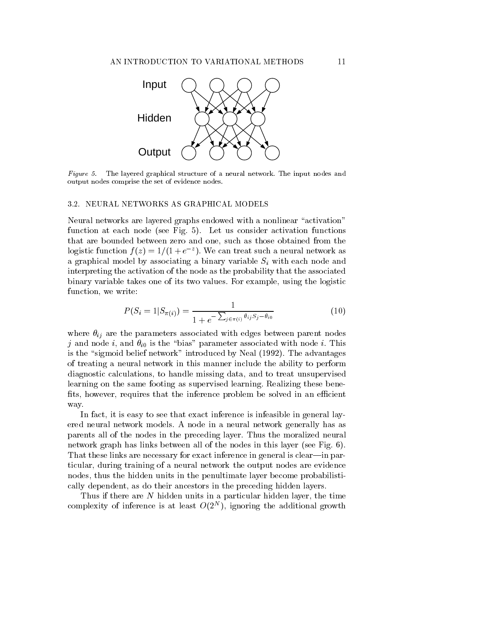

Figure 5. The layered graphical structure of a neural network. The input nodes and output nodes comprise the set of evidence nodes.

# 3.2. NEURAL NETWORKS AS GRAPHICAL MODELS

Neural networks are layered graphs endowed with a nonlinear "activation" function at each node (see Fig. 5). Let us consider activation functions that are bounded between zero and one, such asthose obtained from the logistic function  $f(z)=1/(1 + e^{-z})$ . We can treat such a neural network as a graphical model by associating a binary variable  $S_i$  with each node and interpreting the activation of the node as the probability that the associated binary variable takes one of its two values. For example, using the logistic function, we write:

$$
P(S_i = 1 | S_{\pi(i)}) = \frac{1}{1 + e^{-\sum_{j \in \pi(i)} \theta_{ij} S_j - \theta_{i0}}}
$$
(10)

where  $\theta_{ij}$  are the parameters associated with edges between parent nodes j and node i, and  $\theta_{i0}$  is the "bias" parameter associated with node i. This is the "sigmoid belief network" introduced by Neal (1992). The advantages of treating a neural network in this manner include the ability to perform diagnostic calculations, to handle missing data, and to treat unsupervised learning on the same footing as supervised learning. Realizing these bene fits, however, requires that the inference problem be solved in an efficient way.<br>In fact, it is easy to see that exact inference is infeasible in general lay-

ered neural network models. A node in a neural network generally has as parents all of the nodes in the preceding layer. Thus the moralized neural network graph has links between all of the nodes in this layer (see Fig. 6). That these links are necessary for exact inference in general is clear—in particular, during training of a neural network the output nodes are evidence nodes, thus the hidden units in the penultimate layer become probabilistically dependent, as do their ancestors in the preceding hidden layers.

Thus if there are  $N$  hidden units in a particular hidden layer, the time complexity of inference is at least  $O(2^n)$ , ignoring the additional growth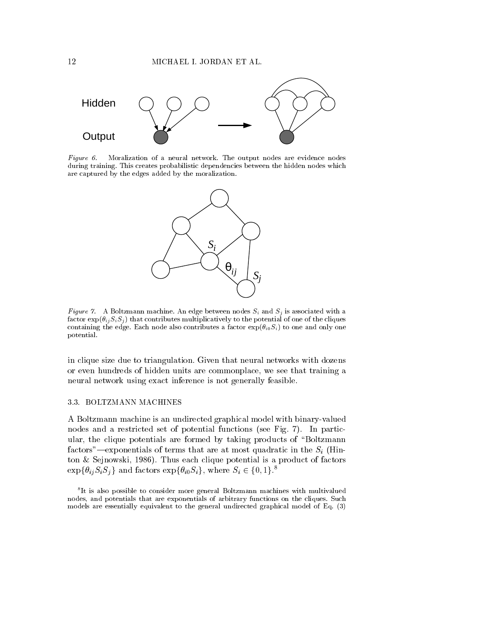

Figure 6. Moralization of a neural network. The output nodes are evidence nodes during training. This creates probabilistic dependencies between the hidden nodes which are captured by the edges added by the moralization.



Figure 7. A Boltzmann machine. An edge between nodes  $S_i$  and  $S_j$  is associated with a factor  $\exp(\theta_{ij} S_i S_j)$  that contributes multiplicatively to the potential of one of the cliques containing the edge. Each node also contributes a factor  $\exp(\theta_{i0}S_i)$  to one and only one potential.

in clique size due to triangulation. Given that neural networks with dozens or even hundreds of hidden units are commonplace, we see that training a neural network using exact inference is not generally feasible.

# 3.3. BOLTZMANN MACHINES

A Boltzmann machine is an undirected graphical model with binary-valued nodes and a restricted set of potential functions (see Fig. 7). In particular, the clique potentials are formed by taking products of "Boltzmann factors"—exponentials of terms that are at most quadratic in the  $S_i$  (Hinton & Sejnowski, 1986). Thus each clique potential is a product of factors ton & Sejnowski, 1986). Thus each clique potential is a product  $\exp{\theta_{ij}S_iS_j}$  and factors  $\exp{\theta_{i0}S_i}$ , where  $S_i \in \{0, 1\}$ .<sup>8</sup>

<sup>8</sup> It is also possible to consider more general Boltzmann machines with multivalued nodes, and potentials that are exponentials of arbitrary functions on the cliques. Such models are essentially equivalent to the general undirected graphical model of Eq. (3)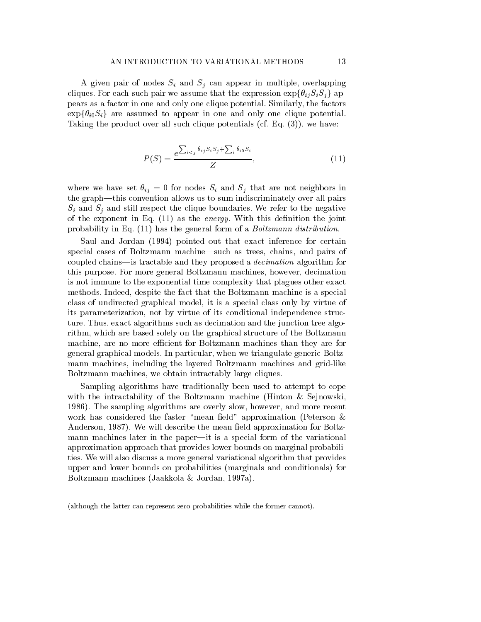A given pair of nodes  $S_i$  and  $S_j$  can appear in multiple, overlapping cliques. For each such pair we assume that the expression  $\exp{\{\theta_{ij}S_iS_j\}}$  appears as a factor in one and only one clique potential. Similarly, the factors  $\exp{\{\theta_{i0}S_i\}}$  are assumed to appear in one and only one clique potential. Taking the product over all such clique potentials (cf. Eq. (3)), we have:

$$
P(S) = \frac{e^{\sum_{i < j} \theta_{ij} S_i S_j + \sum_i \theta_{i0} S_i}}{Z},\tag{11}
$$

where we have set  $\theta_{ij} = 0$  for nodes  $S_i$  and  $S_j$  that are not neighbors in the graph—this convention allows us to sum indiscriminately over all pairs  $S_i$  and  $S_j$  and still respect the clique boundaries. We refer to the negative of the exponent in Eq.  $(11)$  as the *energy*. With this definition the joint probability in Eq. (11) has the general form of a Boltzmann distribution.

Saul and Jordan (1994) pointed out that exact inference for certain special cases of Boltzmann machine—such as trees, chains, and pairs of coupled chains—is tractable and they proposed a *decimation* algorithm for this purpose. For more general Boltzmann machines, however, decimation is not immune to the exponential time complexity that plagues other exact methods. Indeed, despite the fact that the Boltzmann machine is a special class of undirected graphical model, it is a special class only by virtue of its parameterization, not by virtue of its conditional independence structure. Thus, exact algorithms such as decimation and the junction tree algorithm, which are based solely on the graphical structure of the Boltzmann machine, are no more efficient for Boltzmann machines than they are for general graphical models. In particular, when we triangulate generic Boltzmann machines, including the layered Boltzmann machines and grid-like Boltzmann machines, we obtain intractably large cliques.

Sampling algorithms have traditionally been used to attempt to cope with the intractability of the Boltzmann machine (Hinton & Sejnowski, 1986). The sampling algorithms are overly slow, however, and more recent work has considered the faster "mean field" approximation (Peterson  $\&$ Anderson, 1987). We will describe the mean field approximation for Boltzmann machines later in the paper—it is a special form of the variational approximation approach that provides lower bounds on marginal probabilities. We will also discuss a more general variational algorithm that provides upper and lower bounds on probabilities (marginals and conditionals) for Boltzmann machines (Jaakkola & Jordan, 1997a).

<sup>(</sup>although the latter can represent zero probabilities while the former cannot).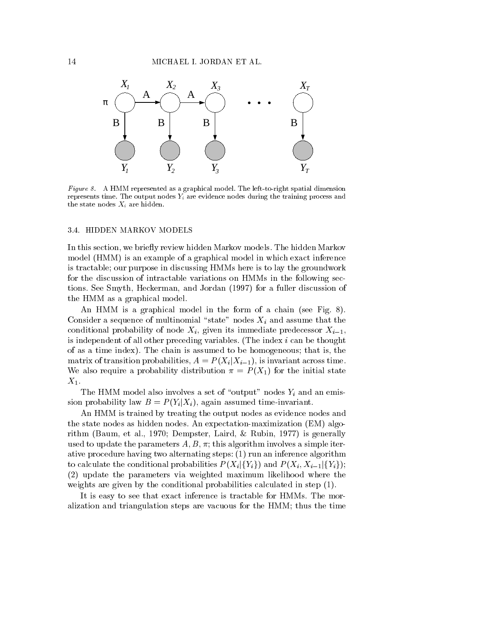

Figure 8. A HMM represented as a graphical model. The left-to-right spatial dimension represents time. The output nodes  $Y_i$  are evidence nodes during the training process and the state nodes  $X_i$  are hidden.

#### 3.4. HIDDEN MARKOV MODELS

In this section, we briefly review hidden Markov models. The hidden Markov model (HMM) is an example of a graphical model in which exact inference is tractable; our purpose in discussing HMMs here is to lay the groundwork for the discussion of intractable variations on HMMs in the following sections. See Smyth, Heckerman, and Jordan (1997) for a fuller discussion of the HMM as a graphical model.

An HMM is a graphical model in the form of a chain (see Fig. 8). Consider a sequence of multinomial "state" nodes  $X_i$  and assume that the conditional probability of node  $X_i$ , given its immediate predecessor  $X_{i-1}$ , is independent of all other preceding variables. (The index  $i$  can be thought of as a time index). The chain is assumed to be homogeneous; that is, the matrix of transition probabilities,  $A = P(X_i | X_{i-1})$ , is invariant across time. We also require a probability distribution  $\pi = P(X_1)$  for the initial state

 $X_1$ .<br>The HMM model also involves a set of "output" nodes  $Y_i$  and an emission probability law  $B = P(Y_i|X_i)$ , again assumed time-invariant.

An HMM is trained by treating the output nodes as evidence nodes and the state nodes as hidden nodes. An expectation-maximization (EM) algorithm (Baum, et al., 1970; Dempster, Laird, & Rubin, 1977) is generally used to update the parameters  $A, B, \pi$ ; this algorithm involves a simple iterative procedure having two alternating steps: (1) run an inference algorithm to calculate the conditional probabilities  $P(X_i | \{Y_i\})$  and  $P(X_i, X_{i-1} | \{Y_i\})$ ; (2) update the parameters via weighted maximum likelihood where the weights are given by the conditional probabilities calculated in step (1).

It is easy to see that exact inference is tractable for HMMs. The moralization and triangulation steps are vacuous for the HMM; thus the time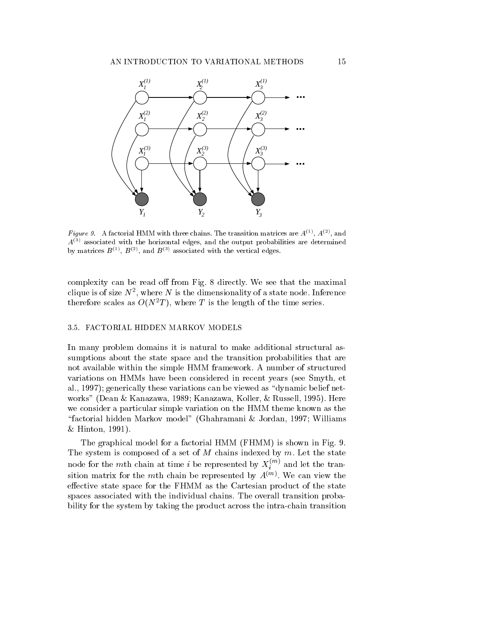

Figure 9. A factorial HMM with three chains. The transition matrices are  $A^{\backsim\gamma}, A^{\backsim\gamma},$  and  $A^{(3)}$  associated with the horizontal edges, and the output probabilities are determined by matrices  $B^{\backsim 2}$ ,  $B^{\backsim 2}$ , and  $B^{\backsim 2}$  associated with the vertical edges.

complexity can be read off from Fig. 8 directly. We see that the maximal chque is of size  $N$  , where  $N$  is the dimensionality of a state node. Inference  $\,$ therefore scales as  $O(N^2T)$ , where T is the length of the time series.

# 3.5. FACTORIAL HIDDEN MARKOV MODELS

In many problem domains it is natural to make additional structural assumptions about the state space and the transition probabilities that are not available within the simple HMM framework. A number of structured variations on HMMs have been considered in recent years (see Smyth, et al., 1997); generically these variations can be viewed as "dynamic belief networks" (Dean & Kanazawa, 1989; Kanazawa, Koller, & Russell, 1995). Here we consider a particular simple variation on the HMM theme known as the \factorial hidden Markov model" (Ghahramani & Jordan,1997; Williams & Hinton, 1991).

The graphical model for a factorial HMM (FHMM) is shown in Fig. 9. The system is composed of a set of  $M$  chains indexed by  $m$ . Let the state node for the  $m$ th chain at time  $\imath$  be represented by  $X_i^{\otimes \imath}$  and let the transition matrix for the  $m$ th chain be represented by  $A^{\vee\cdots}$ . We can view the effective state space for the FHMM as the Cartesian product of the state spaces associated with the individual chains. The overall transition probability for the system by taking the product across the intra-chain transition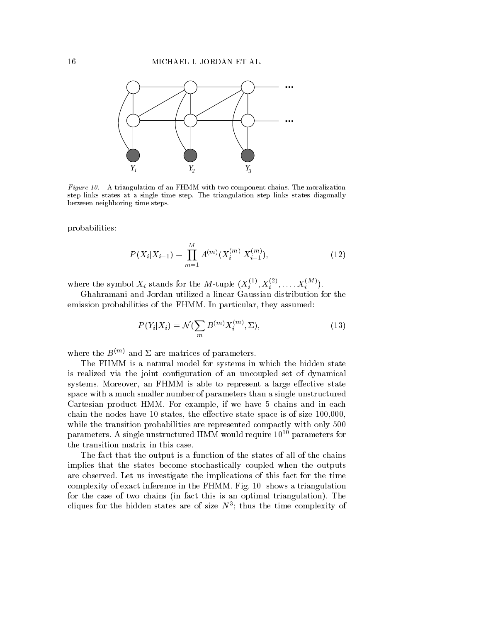

Figure 10. A triangulation of an FHMM with two component chains. The moralization step links states at a single time step. The triangulation step links states diagonally between neighboring time steps.

probabilities:

$$
P(X_i|X_{i-1}) = \prod_{m=1}^{M} A^{(m)}(X_i^{(m)}|X_{i-1}^{(m)}),
$$
\n(12)

where the symbol  $X_i$  stands for the M-tuple  $(X_i^{(1)}, X_i^{(2)}, \ldots, X_i^{(n-2)})$ .

Ghahramani and Jordan utilized a linear-Gaussian distribution for the emission probabilities of the FHMM. In particular, they assumed:

$$
P(Y_i|X_i) = \mathcal{N}\left(\sum_{m} B^{(m)} X_i^{(m)}, \Sigma\right),\tag{13}
$$

where the  $B^{(m)}$  and  $\Sigma$  are matrices of parameters.

The FHMM is a natural model for systems in which the hidden state is realized via the joint conguration of an uncoupled set of dynamical systems. Moreover, an FHMM is able to represent a large effective state space with a much smaller number of parameters than a single unstructured Cartesian product HMM. For example, if we have 5 chains and in each chain the nodes have 10 states, the effective state space is of size  $100,000$ , while the transition probabilities are represented compactly with only 500 parameters. A single unstructured HMM would require 1010 parameters for the transition matrix in this case.

The fact that the output is a function of the states of all of the chains implies that the states become stochastically coupled when the outputs are observed. Let us investigate the implications of this fact for the time complexity of exact inference in the FHMM. Fig. 10 shows a triangulation for the case of two chains (in fact this is an optimal triangulation). The cliques for the hidden states are of size  $N$ ; thus the time complexity of  $\,$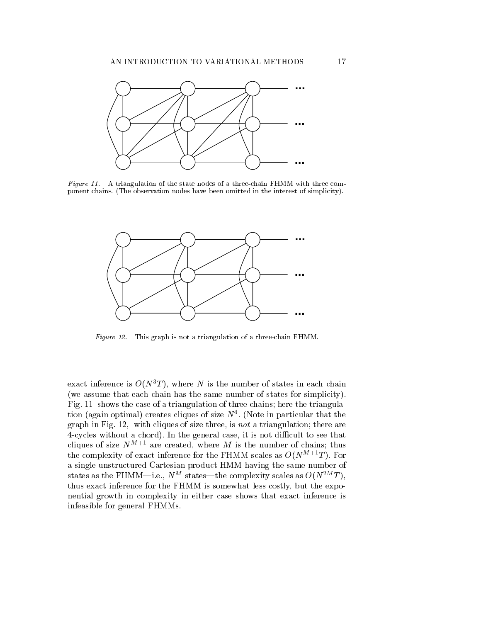

Figure 11. A triangulation of the state nodes of a three-chain FHMM with three component chains. (The observation nodes have been omitted in the interest of simplicity).



Figure 12. This graph is not a triangulation of a three-chain FHMM.

exact inference is  $O(N^3T)$ , where N is the number of states in each chain (we assume that each chain has the same number of states for simplicity). Fig. 11 shows the case of a triangulation of three chains; here the triangulation (again optimal) creates cliques of size *N* – (Note in particular that the graph in Fig. 12, with cliques of size three, is not a triangulation; there are 4-cycles without a chord). In the general case, it is not difficult to see that cliques of size  $N^{M+1}$  are created, where M is the number of chains; thus the complexity of exact inference for the FHMM scales as  $O(N^{M+1}T)$ . For a single unstructured Cartesian product HMM having the same number of states as the FHMM—i.e.,  $N^M$  states—the complexity scales as  $O(N^{2M}T)$ , thus exact inference for the FHMM is somewhat less costly, but the exponential growth in complexity in either case shows that exact inference is infeasible for general FHMMs.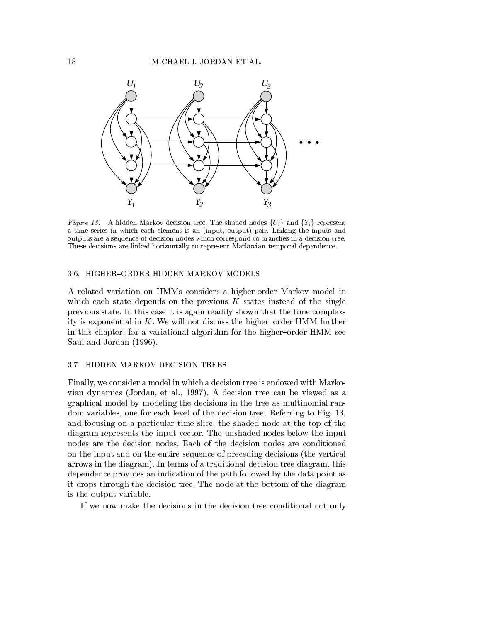

Figure 13. A hidden Markov decision tree. The shaded nodes  $\{U_i\}$  and  $\{Y_i\}$  represent a time series in which each element is an (input, output) pair. Linking the inputs and outputs are a sequence of decision nodes which correspond to branches in a decision tree. These decisions are linked horizontally to represent Markovian temporal dependence.

A related variation on HMMs considers a higher-order Markov model in which each state depends on the previous  $K$  states instead of the single previous state. In this case it is again readily shown that the time complexity is exponential in  $K$ . We will not discuss the higher-order HMM further in this chapter; for a variational algorithm for the higher-order HMM see Saul and Jordan (1996).

Finally, we consider a model in which a decision tree is endowed with Markovian dynamics (Jordan, et al., 1997). A decision tree can be viewed as a graphical model by modeling the decisions in the tree as multinomial random variables, one for each level of the decision tree. Referring to Fig. 13, and focusing on a particular time slice, the shaded node at the top of the diagram represents the input vector. The unshaded nodes below the input nodes are the decision nodes. Each of the decision nodes are conditioned on the input and on the entire sequence of preceding decisions (the vertical arrows in the diagram). In terms of a traditional decision tree diagram, this dependence provides an indication of the path followed by the data point as it drops through the decision tree. The node at the bottom of the diagram is the output variable.

If we now make the decisions in the decision tree conditional not only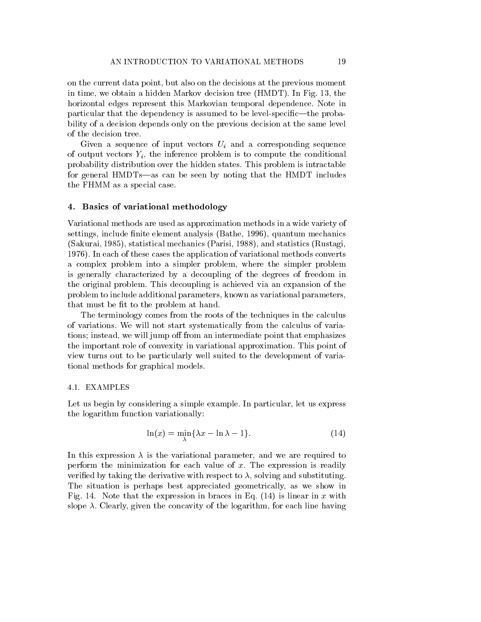on the current data point, but also on the decisions at the previous moment in time, we obtain a hidden Markov decision tree (HMDT). In Fig. 13, the horizontal edges represent this Markovian temporal dependence. Note in particular that the dependency is assumed to be level-specific—the probability of a decision depends only on the previous decision at the same level of the decision tree.

Given a sequence of input vectors  $U_i$  and a corresponding sequence of output vectors  $Y_i$ , the inference problem is to compute the conditional probability distribution over the hidden states. This problem is intractable for general HMDTs—as can be seen by noting that the HMDT includes the FHMM as a special case.

# 4. Basics of variational methodology

Variational methods are used as approximation methods in a wide variety of settings, include finite element analysis (Bathe, 1996), quantum mechanics (Sakurai, 1985), statistical mechanics (Parisi, 1988), and statistics (Rustagi, 1976). In each of these cases the application of variational methods converts a complex problem into a simpler problem, where the simpler problem is generally characterized by a decoupling of the degrees of freedom in the original problem. This decoupling is achieved via an expansion of the problem to include additional parameters, known as variational parameters, that must be fit to the problem at hand.

The terminology comes from the roots of the techniques in the calculus of variations. We will not start systematically from the calculus of variations; instead, we will jump off from an intermediate point that emphasizes the important role of convexity in variational approximation. This point of view turns out to be particularly well suited to the development of variational methods for graphical models.

#### 4.1. EXAMPLES

Let us begin by considering a simple example. In particular, let us express the logarithm function variationally:

$$
\ln(x) = \min_{\lambda} \{ \lambda x - \ln \lambda - 1 \}. \tag{14}
$$

In this expression  $\lambda$  is the variational parameter, and we are required to perform the minimization for each value of  $x$ . The expression is readily verified by taking the derivative with respect to  $\lambda$ , solving and substituting. The situation is perhaps best appreciated geometrically, as we show in Fig. 14. Note that the expression in braces in Eq.  $(14)$  is linear in x with slope  $\lambda$ . Clearly, given the concavity of the logarithm, for each line having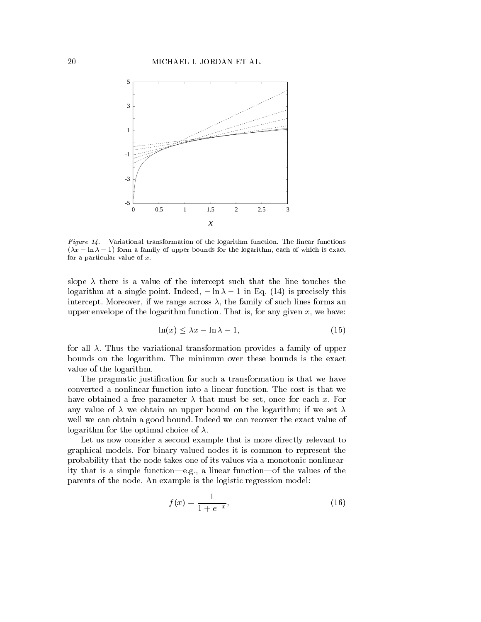

Figure 14. Variational transformation of the logarithm function. The linear functions  $(\lambda x - \ln \lambda - 1)$  form a family of upper bounds for the logarithm, each of which is exact for a particular value of  $x$ .

slope  $\lambda$  there is a value of the intercept such that the line touches the logarithm at a single point. Indeed,  $-\ln \lambda - 1$  in Eq. (14) is precisely this intercept. Moreover, if we range across  $\lambda$ , the family of such lines forms an upper envelope of the logarithm function. That is, for any given  $x$ , we have:

$$
\ln(x) \le \lambda x - \ln \lambda - 1,\tag{15}
$$

for all  $\lambda$ . Thus the variational transformation provides a family of upper bounds on the logarithm. The minimum over these bounds is the exact value of the logarithm.

The pragmatic justification for such a transformation is that we have converted a nonlinear function into a linear function. The cost is that we have obtained a free parameter  $\lambda$  that must be set, once for each x. For any value of  $\lambda$  we obtain an upper bound on the logarithm; if we set  $\lambda$ well we can obtain a good bound. Indeed we can recover the exact value of logarithm for the optimal choice of  $\lambda$ .

Let us now consider a second example that is more directly relevant to graphical models. For binary-valued nodes it is common to represent the probability that the node takes one of its values via a monotonic nonlinearity that is a simple function—e.g., a linear function—of the values of the parents of the node. An example is the logistic regression model:

$$
f(x) = \frac{1}{1 + e^{-x}},\tag{16}
$$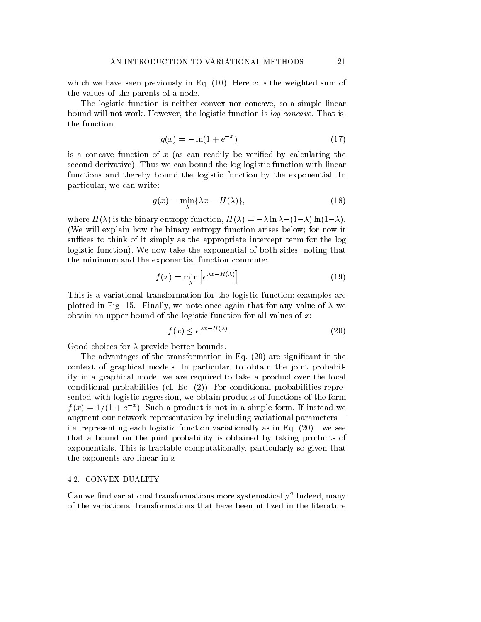which we have seen previously in Eq.  $(10)$ . Here x is the weighted sum of the values of the parents of a node.

The logistic function is neither convex nor concave, so a simple linear bound will not work. However, the logistic function is log concave. That is,

$$
g(x) = -\ln(1 + e^{-x})
$$
 (17)

is a concave function of  $x$  (as can readily be verified by calculating the second derivative). Thus we can bound the log logistic function with linear functions and thereby bound the logistic function by the exponential. In particular, we can write:

$$
g(x) = \min_{\lambda} \{ \lambda x - H(\lambda) \},\tag{18}
$$

where  $H(\lambda)$  is the binary entropy function,  $H(\lambda) = -\lambda \ln \lambda - (1-\lambda) \ln(1-\lambda)$ . (We will explain how the binary entropy function arises below; for now it suffices to think of it simply as the appropriate intercept term for the log logistic function). We now take the exponential of both sides, noting that the minimum and the exponential function commute:

$$
f(x) = \min_{\lambda} \left[ e^{\lambda x - H(\lambda)} \right].
$$
 (19)

This is a variational transformation for the logistic function; examples are plotted in Fig. 15. Finally, we note once again that for any value of  $\lambda$  we obtain an upper bound of the logistic function for all values of  $x$ :

$$
f(x) \le e^{\lambda x - H(\lambda)}.\tag{20}
$$

Good choices for  $\lambda$  provide better bounds.

The advantages of the transformation in Eq.  $(20)$  are significant in the context of graphical models. In particular, to obtain the joint probability in a graphical model we are required to take a product over the local conditional probabilities (cf. Eq. (2)). For conditional probabilities represented with logistic regression, we obtain products of functions of the form  $f(x) = 1/(1 + e^{-x})$ . Such a product is not in a simple form. If instead we augment our network representation by including variational parameters| i.e. representing each logistic function variationally as in Eq.  $(20)$ —we see that a bound on the joint probability is obtained by taking products of exponentials. This is tractable computationally, particularly so given that the exponents are linear in x.

# 4.2. CONVEX DUALITY

Can we find variational transformations more systematically? Indeed, many of the variational transformations that have been utilized in the literature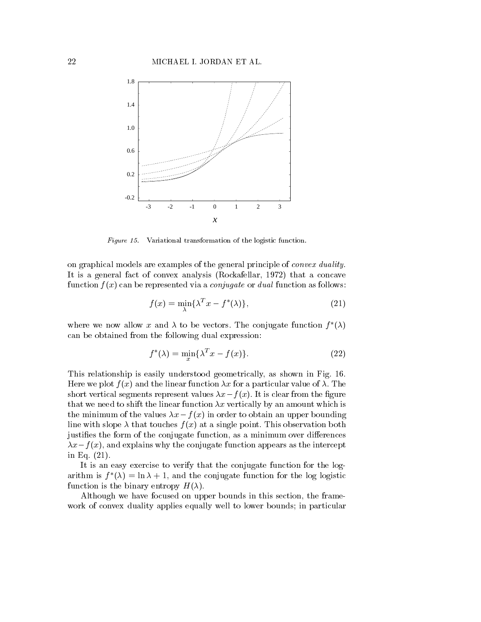

Figure 15. Variational transformation of the logistic function.

on graphical models are examples of the general principle of convex duality. It is a general fact of convex analysis (Rockafellar, 1972) that a concave function  $f(x)$  can be represented via a *conjugate* or *dual* function as follows:

$$
f(x) = \min_{\lambda} \{ \lambda^T x - f^*(\lambda) \},\tag{21}
$$

where we now allow x and  $\lambda$  to be vectors. The conjugate function  $f^*(\lambda)$ can be obtained from the following dual expression:

$$
f^*(\lambda) = \min_x \{ \lambda^T x - f(x) \}.
$$
 (22)

This relationship is easily understood geometrically, as shown in Fig.16. Here we plot  $f(x)$  and the linear function  $\lambda x$  for a particular value of  $\lambda$ . The short vertical segments represent values  $\lambda x - f(x)$ . It is clear from the figure that we need to shift the linear function  $\lambda x$  vertically by an amount which is the minimum of the values  $\lambda x - f(x)$  in order to obtain an upper bounding line with slope  $\lambda$  that touches  $f(x)$  at a single point. This observation both justifies the form of the conjugate function, as a minimum over differences  $\lambda x - f(x)$ , and explains why the conjugate function appears as the intercept in Eq. (21).

It is an easy exercise to verify that the conjugate function for the logarithm is  $f^*(\lambda) = \ln \lambda + 1$ , and the conjugate function for the log logistic function is the binary entropy  $H(\lambda)$ .

Although we have focused on upper bounds in this section, the framework of convex duality applies equally well to lower bounds; in particular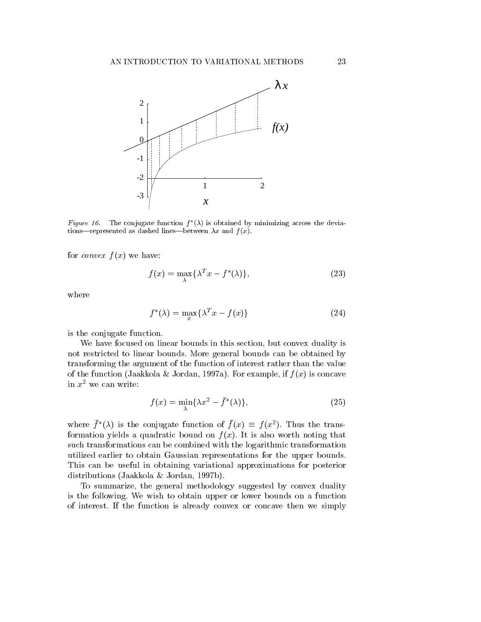

*Figure 10*. The conjugate function  $f(\lambda)$  is obtained by minimizing across the deviations—represented as dashed lines—between  $\lambda x$  and  $f(x)$ .

for *convex*  $f(x)$  we have:

$$
f(x) = \max_{\lambda} \{ \lambda^T x - f^*(\lambda) \},\tag{23}
$$

where

$$
f^*(\lambda) = \max_x \{ \lambda^T x - f(x) \}
$$
 (24)

is the conjugate function.

We have focused on linear bounds in this section, but convex duality is not restricted to linear bounds. More general bounds can be obtained by transforming the argument of the function of interest rather than the value of the function (Jaakkola & Jordan, 1997a). For example, if  $f(x)$  is concave in  $x^2$  we can write:

$$
f(x) = \min_{\lambda} \{ \lambda x^2 - \bar{f}^*(\lambda) \},\tag{25}
$$

where  $f^*(\lambda)$  is the conjugate function of  $f(x) \equiv f(x^2)$ . Thus the transformation yields a quadratic bound on  $f(x)$ . It is also worth noting that such transformations can be combined with the logarithmic transformation utilized earlier to obtain Gaussian representations for the upper bounds. This can be useful in obtaining variational approximations for posterior distributions (Jaakkola & Jordan, 1997b).

To summarize, the general methodology suggested by convex duality is the following. We wish to obtain upper or lower bounds on a function of interest. If the function is already convex or concave then we simply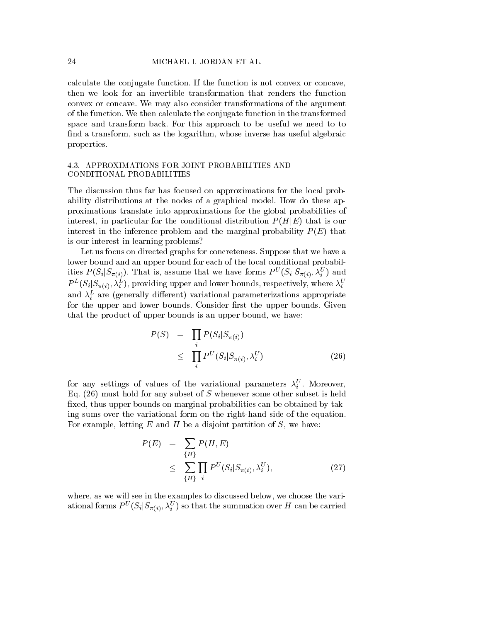calculate the conjugate function. If the function is not convex or concave, then we look for an invertible transformation that renders the function convex or concave. We may also consider transformations of the argument of the function. We then calculate the conjugate function in the transformed space and transform back. For this approach to be useful we need to to find a transform, such as the logarithm, whose inverse has useful algebraic properties.

# **4.3. APPROXIMATIONS FOR JOINT PROBABILITIES AND**

The discussion thus far has focused on approximations for the local probability distributions at the nodes of a graphical model. How do these approximations translate into approximations for the global probabilities of interest, in particular for the conditional distribution  $P(H|E)$  that is our interest in the inference problem and the marginal probability  $P(E)$  that is our interest in learning problems?

Let us focus on directed graphs for concreteness. Suppose that we have a lower bound and an upper bound for each of the local conditional probabilities  $P(\mathcal{S}_i|\mathcal{S}_{\pi(i)})$ . That is, assume that we have forms  $P_-(\mathcal{S}_i|\mathcal{S}_{\pi(i)},\mathcal{A}_i)$  and  $P_-(\mathcal{S}_i|\mathcal{S}_{\pi(i)},\mathcal{A}_i)$ , providing upper and lower bounds, respectively, where  $\mathcal{A}_i$ and  $\lambda_i^-$  are (generally different) variational parameterizations appropriate for the upper and lower bounds. Consider first the upper bounds. Given that the product of upper bounds is an upper bound, we have:

$$
P(S) = \prod_{i} P(S_i | S_{\pi(i)})
$$
  
\n
$$
\leq \prod_{i} P^{U}(S_i | S_{\pi(i)}, \lambda_i^{U})
$$
\n(26)

for any settings of values of the variational parameters  $\lambda_i^*$  . Moreover, Eq.  $(26)$  must hold for any subset of S whenever some other subset is held fixed, thus upper bounds on marginal probabilities can be obtained by taking sums over the variational form on the right-hand side of the equation. For example, letting  $E$  and  $H$  be a disjoint partition of  $S$ , we have:

$$
P(E) = \sum_{\{H\}} P(H, E)
$$
  
\n
$$
\leq \sum_{\{H\}} \prod_{i} P^{U}(S_i | S_{\pi(i)}, \lambda_i^U),
$$
\n(27)

where, as we will see in the examples to discussed below, we choose the variational forms  $P^-(\mathcal{S}_i|\mathcal{S}_{\pi(i)},\mathcal{A}_i^-)$  so that the summation over  $H$  can be carried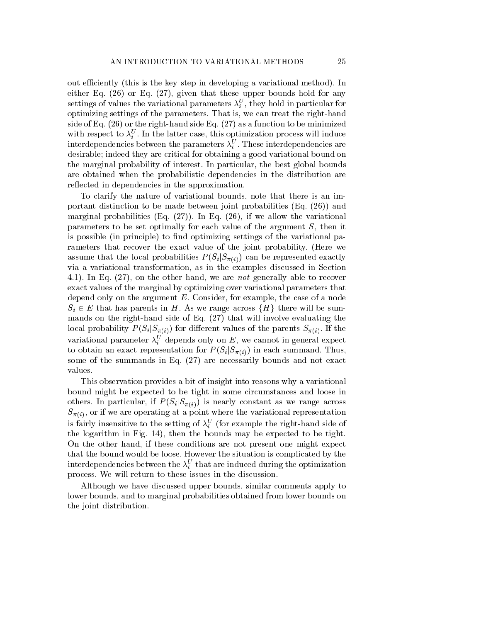out efficiently (this is the key step in developing a variational method). In either Eq. (26) or Eq. (27), given that these upper bounds hold for any settings of values the variational parameters  $\lambda_i^*$  , they hold in particular for optimizing settings of the parameters. That is, we can treat the right-hand side of Eq. (26) or the right-hand side Eq. (27) as a function to be minimized with respect to  $\lambda_i^*$ . In the latter case, this optimization process will induce interdependencies between the parameters  $\lambda_i^{\pm}$  . These interdependencies are desirable; indeed they are critical for obtaining a good variational bound on the marginal probability of interest. In particular, the best global bounds are obtained when the probabilistic dependencies in the distribution are reflected in dependencies in the approximation.

To clarify the nature of variational bounds, note that there is an important distinction to be made between joint probabilities (Eq. (26)) and marginal probabilities  $(Eq. (27))$ . In Eq.  $(26)$ , if we allow the variational parameters to be set optimally for each value of the argument S, then it is possible (in principle) to find optimizing settings of the variational parameters that recover the exact value of the joint probability. (Here we assume that the local probabilities  $P(S_i|S_{\pi(i)})$  can be represented exactly via a variational transformation, as in the examples discussed in Section 4.1). In Eq. (27), on the other hand, we are not generally able to recover exact values of the marginal by optimizing over variational parameters that depend only on the argument  $E$ . Consider, for example, the case of a node  $S_i \in E$  that has parents in H. As we range across  $\{H\}$  there will be summands on the right-hand side of Eq. (27) that will involve evaluating the local probability  $P(S_i|S_{\pi(i)})$  for different values of the parents  $S_{\pi(i)}$ . If the variational parameter  $\lambda_i$  depends only on  $E$ , we cannot in general expect to obtain an exact representation for  $P(S_i|S_{\pi(i)})$  in each summand. Thus, some of the summands in Eq. (27) are necessarily bounds and not exact values.

This observation provides a bit of insight into reasons why a variational bound might be expected to be tight in some circumstances and loose in others. In particular, if  $P(S_i|S_{\pi(i)})$  is nearly constant as we range across  $S_{\pi(i)}$ , or if we are operating at a point where the variational representation is fairly insensitive to the setting of  $\lambda_i^-$  (for example the right-hand side of the logarithm in Fig.14), then the bounds may be expected to be tight. On the other hand, if these conditions are not present one might expect that the bound would be loose. However the situation is complicated by the interdependencies between the  $\lambda_i^-$  that are induced during the optimization process. We will return to these issues in the discussion.

Although we have discussed upper bounds, similar comments apply to lower bounds, and to marginal probabilities obtained from lower bounds on the joint distribution.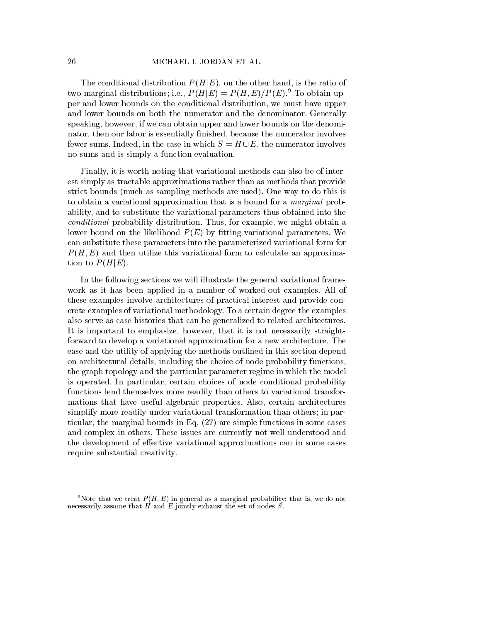The conditional distribution  $P(H|E)$ , on the other hand, is the ratio of two marginal distributions; i.e.,  $P(H|E) = P(H, E)/P(E)$ .<sup>9</sup> To obtain upper and lower bounds on the conditional distribution, we must have upper and lower bounds on both the numerator and the denominator. Generally speaking, however, if we can obtain upper and lower bounds on the denominator, then our labor is essentially finished, because the numerator involves fewer sums. Indeed, in the case in which  $S = H \cup E$ , the numerator involves no sums and is simply a function evaluation.

Finally, it is worth noting that variational methods can also be of interest simply as tractable approximations rather than as methods that provide strict bounds (much as sampling methods are used). One way to do this is to obtain a variational approximation that is a bound for a marginal probability, and to substitute the variational parameters thus obtained into the conditional probability distribution. Thus, for example, we might obtain a lower bound on the likelihood  $P(E)$  by fitting variational parameters. We can substitute these parameters into the parameterized variational form for  $P(H, E)$  and then utilize this variational form to calculate an approximation to  $P(H|E)$ .

In the following sections we will illustrate the general variational framework as it has been applied in a number of worked-out examples. All of these examples involve architectures of practical interest and provide concrete examples of variational methodology. To a certain degree the examples also serve as case histories that can be generalized to related architectures. It is important to emphasize, however, that it is not necessarily straightforward to develop a variational approximation for a new architecture. The ease and the utility of applying the methods outlined in this section depend on architectural details, including the choice of node probability functions, the graph topology and the particular parameter regime in which the model is operated. In particular, certain choices of node conditional probability functions lend themselves more readily than others to variational transformations that have useful algebraic properties. Also, certain architectures simplify more readily under variational transformation than others; in particular, the marginal bounds in Eq. (27) are simple functions in some cases and complex in others. These issues are currently not well understood and the development of effective variational approximations can in some cases require substantial creativity.

<sup>&</sup>lt;sup>9</sup>Note that we treat  $P(H, E)$  in general as a marginal probability; that is, we do not necessarily assume that  $H$  and  $E$  jointly exhaust the set of nodes  $S$ .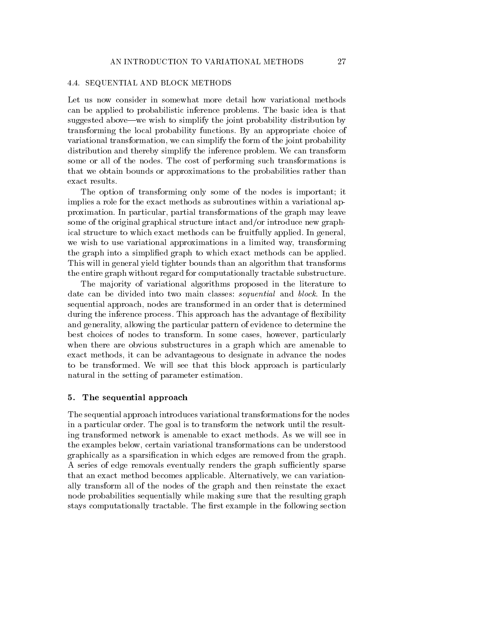# 4.4. SEQUENTIAL AND BLOCK METHODS

Let us now consider in somewhat more detail how variational methods can be applied to probabilistic inference problems. The basic idea is that suggested above—we wish to simplify the joint probability distribution by transforming the local probability functions. By an appropriate choice of variational transformation, we can simplify the form of the joint probability distribution and thereby simplify the inference problem. We can transform some or all of the nodes. The cost of performing such transformations is that we obtain bounds or approximations to the probabilities rather than exact results.

The option of transforming only some of the nodes is important; it implies a role for the exact methods as subroutines within a variational approximation. In particular, partial transformations of the graph may leave some of the original graphical structure intact and/or introduce new graphical structure to which exact methods can be fruitfully applied. In general, we wish to use variational approximations in a limited way, transforming the graph into a simplied graph to which exact methods can be applied. This will in general yield tighter bounds than an algorithm that transforms the entire graph without regard for computationally tractable substructure.

The majority of variational algorithms proposed in the literature to date can be divided into two main classes: sequential and block. In the sequential approach, nodes are transformed in an order that is determined during the inference process. This approach has the advantage of flexibility and generality, allowing the particular pattern of evidence to determine the best choices of nodes to transform. In some cases, however, particularly when there are obvious substructures in a graph which are amenable to exact methods, it can be advantageous to designate in advance the nodes to be transformed. We will see that this block approach is particularly natural in the setting of parameter estimation.

# 5. The sequential approach

The sequential approach introduces variational transformations for the nodes in a particular order. The goal is to transform the network until the resulting transformed network is amenable to exact methods. As we will see in the examples below, certain variational transformations can be understood graphically as a sparsication in which edges are removed from the graph. A series of edge removals eventually renders the graph sufficiently sparse that an exact method becomes applicable. Alternatively, we can variationally transform all of the nodes of the graph and then reinstate the exact node probabilities sequentially while making sure that the resulting graph stays computationally tractable. The first example in the following section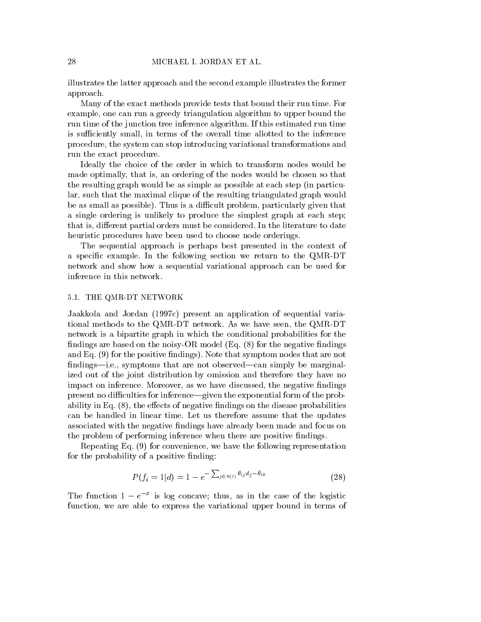illustrates the latter approach and the second example illustrates the former approach.

Many of the exact methods provide tests that bound their run time. For example, one can run a greedy triangulation algorithm to upper bound the run time of the junction tree inference algorithm. If this estimated run time is sufficiently small, in terms of the overall time allotted to the inference procedure, the system can stop introducing variational transformations and run the exact procedure.

Ideally the choice of the order in which to transform nodes would be made optimally, that is, an ordering of the nodes would be chosen so that the resulting graph would be as simple as possible at each step (in particular, such that the maximal clique of the resulting triangulated graph would be as small as possible). Thus is a difficult problem, particularly given that a single ordering is unlikely to produce the simplest graph at each step; that is, different partial orders must be considered. In the literature to date heuristic procedures have been used to choose node orderings.

The sequential approach is perhaps best presented in the context of a specific example. In the following section we return to the QMR-DT network and show how a sequential variational approach can be used for inference in this network.

# 5.1. THE QMR-DT NETWORK

Jaakkola and Jordan (1997c) present an application of sequential variational methods to the QMR-DT network. As we have seen, the QMR-DT network is a bipartite graph in which the conditional probabilities for the findings are based on the noisy-OR model  $(E_q, (8)$  for the negative findings and Eq.  $(9)$  for the positive findings). Note that symptom nodes that are not findings—i.e., symptoms that are not observed—can simply be marginalized out of the joint distribution by omission and therefore they have no impact on inference. Moreover, as we have discussed, the negative findings present no difficulties for inference—given the exponential form of the probability in Eq.  $(8)$ , the effects of negative findings on the disease probabilities can be handled in linear time. Let us therefore assume that the updates associated with the negative findings have already been made and focus on the problem of performing inference when there are positive findings.

Repeating Eq. (9) for convenience, we have the following representation for the probability of a positive finding:

$$
P(f_i = 1|d) = 1 - e^{-\sum_{j \in \pi(i)} \theta_{ij} d_j - \theta_{i0}}
$$
\n(28)

The function  $1 - e^{-x}$  is log concave; thus, as in the case of the logistic function, we are able to express the variational upper bound in terms of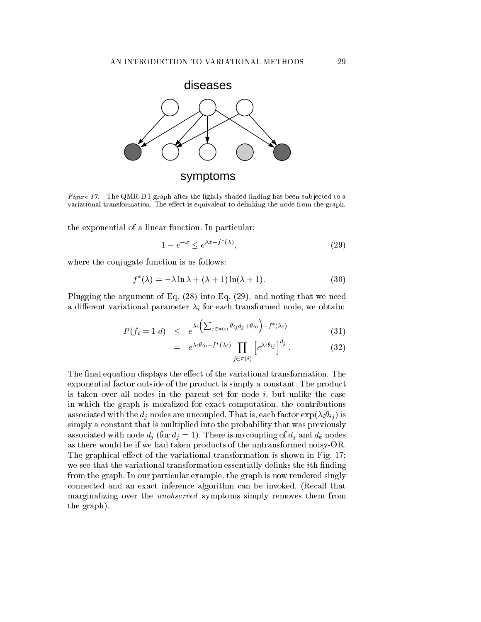

Figure 17. The QMR-DT graph after the lightly shaded finding has been subjected to a variational transformation. The effect is equivalent to delinking the node from the graph.

the exponential of a linear function. In particular:

$$
1 - e^{-x} \le e^{\lambda x - f^*(\lambda)},\tag{29}
$$

where the conjugate function is as follows:

$$
f^*(\lambda) = -\lambda \ln \lambda + (\lambda + 1) \ln(\lambda + 1). \tag{30}
$$

Plugging the argument of Eq. (28) into Eq. (29), and noting that we need a different variational parameter  $\lambda_i$  for each transformed node, we obtain:

$$
P(f_i = 1|d) \leq e^{\lambda_i \left(\sum_{j \in \pi(i)} \theta_{ij} d_j + \theta_{i0}\right) - f^*(\lambda_i)} \tag{31}
$$

$$
= e^{\lambda_i \theta_{i0} - f^*(\lambda_i)} \prod_{j \in \pi(i)} \left[ e^{\lambda_i \theta_{ij}} \right]^{d_j} . \tag{32}
$$

The final equation displays the effect of the variational transformation. The exponential factor outside of the product is simply a constant. The product is taken over all nodes in the parent set for node  $i$ , but unlike the case in which the graph is moralized for exact computation, the contributions associated with the  $d_i$  nodes are uncoupled. That is, each factor  $\exp(\lambda_i \theta_{ij})$  is simply a constant that is multiplied into the probability that was previously associated with node  $d_j$  (for  $d_j = 1$ ). There is no coupling of  $d_j$  and  $d_k$  nodes as there would be if we had taken products of the untransformed noisy-OR. The graphical effect of the variational transformation is shown in Fig.  $17$ ; we see that the variational transformation essentially delinks the  $i$ th finding from the graph. In our particular example, the graph is now rendered singly connected and an exact inference algorithm can be invoked. (Recall that marginalizing over the unobserved symptoms simply removes them from the graph).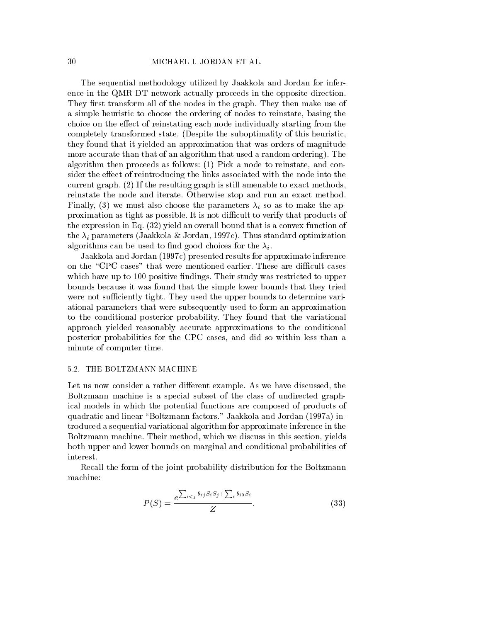The sequential methodology utilized by Jaakkola and Jordan for inference in the QMR-DT network actually proceeds in the opposite direction. They first transform all of the nodes in the graph. They then make use of a simple heuristic to choose the ordering of nodes to reinstate, basing the choice on the effect of reinstating each node individually starting from the completely transformed state. (Despite the suboptimality of this heuristic, they found that it yielded an approximation that was orders of magnitude more accurate than that of an algorithm that used a random ordering). The algorithm then proceeds as follows: (1) Pick a node to reinstate, and consider the effect of reintroducing the links associated with the node into the current graph. (2) If the resulting graph is still amenable to exact methods, reinstate the node and iterate. Otherwise stop and run an exact method. Finally, (3) we must also choose the parameters  $\lambda_i$  so as to make the approximation as tight as possible. It is not difficult to verify that products of the expression in Eq. (32) yield an overall bound that is a convex function of the  $\lambda_i$  parameters (Jaakkola & Jordan, 1997c). Thus standard optimization algorithms can be used to find good choices for the  $\lambda_i$ .

Jaakkola and Jordan (1997c) presented results for approximate inference on the "CPC cases" that were mentioned earlier. These are difficult cases which have up to 100 positive findings. Their study was restricted to upper bounds because it was found that the simple lower bounds that they tried were not sufficiently tight. They used the upper bounds to determine variational parameters that were subsequently used to form an approximation to the conditional posterior probability. They found that the variational approach yielded reasonably accurate approximations to the conditional posterior probabilities for the CPC cases, and did so within less than a minute of computer time.

#### 5.2. THE BOLTZMANN MACHINE

Let us now consider a rather different example. As we have discussed, the Boltzmann machine is a special subset of the class of undirected graphical models in which the potential functions are composed of products of quadratic and linear \Boltzmann factors." Jaakkola and Jordan (1997a) introduced a sequential variational algorithm for approximate inference in the Boltzmann machine. Their method, which we discuss in this section, yields both upper and lower bounds on marginal and conditional probabilities of interest.

Recall the form of the joint probability distribution for the Boltzmann machine:

$$
P(S) = \frac{e^{\sum_{i < j} \theta_{ij} S_i S_j + \sum_i \theta_{i0} S_i}}{Z}.\tag{33}
$$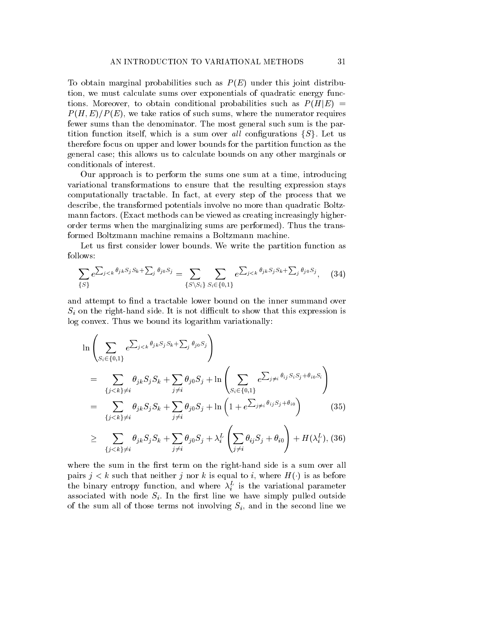To obtain marginal probabilities such as  $P(E)$  under this joint distribution, we must calculate sums over exponentials of quadratic energy functions. Moreover, to obtain conditional probabilities such as  $P(H|E)$  =  $P(H, E)/P(E)$ , we take ratios of such sums, where the numerator requires fewer sums than the denominator. The most general such sum is the partition function itself, which is a sum over all configurations  $\{S\}$ . Let us therefore focus on upper and lower bounds for the partition function as the general case; this allows us to calculate bounds on any other marginals or conditionals of interest.

Our approach is to perform the sums one sum at a time, introducing variational transformations to ensure that the resulting expression stays computationally tractable. In fact, at every step of the process that we describe, the transformed potentials involve no more than quadratic Boltzmann factors. (Exact methods can be viewed as creating increasingly higherorder terms when the marginalizing sums are performed). Thus the transformed Boltzmann machine remains a Boltzmann machine.

Let us first consider lower bounds. We write the partition function as follows:

$$
\sum_{\{S\}} e^{\sum_{j < k} \theta_{jk} S_j S_k + \sum_j \theta_{j0} S_j} = \sum_{\{S \setminus S_i\}} \sum_{S_i \in \{0, 1\}} e^{\sum_{j < k} \theta_{jk} S_j S_k + \sum_j \theta_{j0} S_j}, \quad (34)
$$

and attempt to find a tractable lower bound on the inner summand over  $S_i$  on the right-hand side. It is not difficult to show that this expression is log convex. Thus we bound its logarithm variationally:

$$
\ln \left( \sum_{S_i \in \{0,1\}} e^{\sum_{j < k} \theta_{jk} S_j S_k + \sum_j \theta_{j0} S_j} \right)
$$
\n
$$
= \sum_{\{j < k\} \neq i} \theta_{jk} S_j S_k + \sum_{j \neq i} \theta_{j0} S_j + \ln \left( \sum_{S_i \in \{0,1\}} e^{\sum_{j \neq i} \theta_{ij} S_i S_j + \theta_{i0} S_i} \right)
$$
\n
$$
= \sum_{\{j < k\} \neq i} \theta_{jk} S_j S_k + \sum_{j \neq i} \theta_{j0} S_j + \ln \left( 1 + e^{\sum_{j \neq i} \theta_{ij} S_j + \theta_{i0}} \right) \qquad (35)
$$
\n
$$
\geq \sum_{\{j < k\} \neq i} \theta_{jk} S_j S_k + \sum_{j \neq i} \theta_{j0} S_j + \lambda_i^L \left( \sum_{j \neq i} \theta_{ij} S_j + \theta_{i0} \right) + H(\lambda_i^L), (36)
$$

where the sum in the first term on the right-hand side is a sum over all pairs  $j < k$  such that neither j nor k is equal to i, where  $H(\cdot)$  is as before the binary entropy function, and where  $\lambda_i^+$  is the variational parameter associated with node  $S_i$ . In the first line we have simply pulled outside of the sum all of those terms not involving  $S_i$ , and in the second line we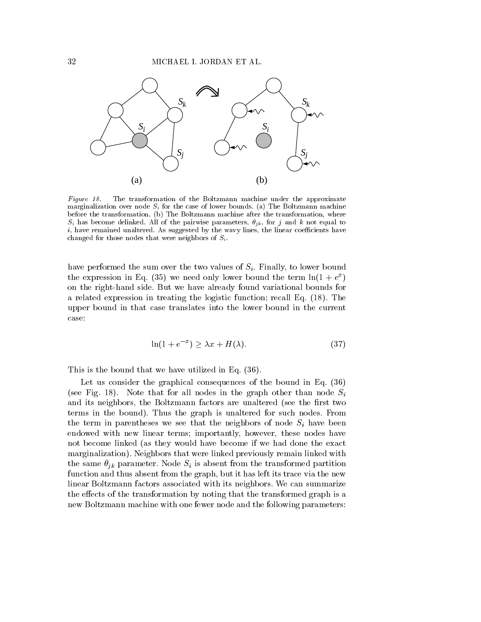

Figure 18. The transformation of the Boltzmann machine under the approximate marginalization over node  $S_i$  for the case of lower bounds. (a) The Boltzmann machine before the transformation. (b) The Boltzmann machine after the transformation, where  $S_i$  has become delinked. All of the pairwise parameters,  $\theta_{jk}$ , for j and k not equal to  $i$ , have remained unaltered. As suggested by the wavy lines, the linear coefficients have changed for those nodes that were neighbors of  $S_i$ .

have performed the sum over the two values of  $S_i$ . Finally, to lower bound the expression in Eq. (55) we need only lower bound the term in(1  $+e$  )  $\blacksquare$ on the right-hand side. But we have already found variational bounds for a related expression in treating the logistic function; recall Eq. (18). The upper bound in that case translates into the lower bound in the current case:

$$
\ln(1 + e^{-x}) \ge \lambda x + H(\lambda). \tag{37}
$$

This is the bound that we have utilized in Eq. (36).

Let us consider the graphical consequences of the bound in Eq. (36) (see Fig. 18). Note that for all nodes in the graph other than node  $S_i$ and its neighbors, the Boltzmann factors are unaltered (see the first two terms in the bound). Thus the graph is unaltered for such nodes. From the term in parentheses we see that the neighbors of node  $S_i$  have been endowed with new linear terms; importantly, however, these nodes have not become linked (as they would have become if we had done the exact marginalization). Neighbors that were linked previously remain linked with the same  $\theta_{ik}$  parameter. Node  $S_i$  is absent from the transformed partition function and thus absent from the graph, but it has left its trace via the new linear Boltzmann factors associated with its neighbors. We can summarize the effects of the transformation by noting that the transformed graph is a new Boltzmann machine with one fewer node and the following parameters: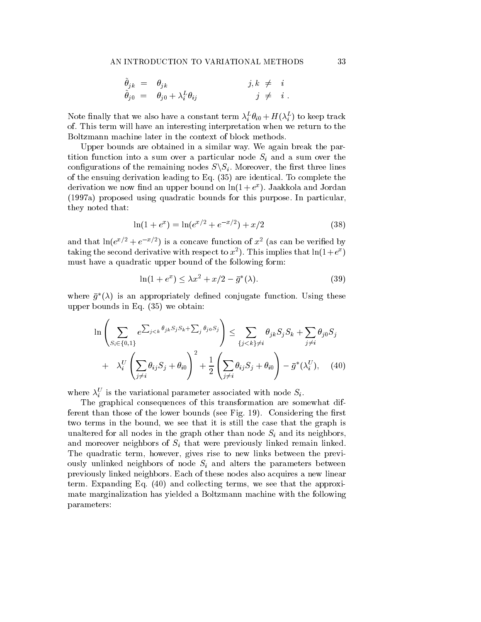$$
\begin{array}{rcl}\n\theta_{jk} & = & \theta_{jk} \\
\tilde{\theta}_{j0} & = & \theta_{j0} + \lambda_i^L \theta_{ij}\n\end{array}\n\qquad\n\begin{array}{rcl}\nj, k & \neq & i \\
j & \neq & i \n\end{array}.
$$

Note many that we also have a constant term  $\lambda_i^+ v_{i0} + H(\lambda_i^-)$  to keep track of. This term will have an interesting interpretation when we return to the Boltzmann machine later in the context of block methods.

Upper bounds are obtained in a similar way. We again break the partition function into a sum over a particular node  $S_i$  and a sum over the configurations of the remaining nodes  $S\setminus S_i$ . Moreover, the first three lines of the ensuing derivation leading to Eq. (35) are identical. To complete the  $\alpha$ erivation we now find an upper bound on m $(1+e^-)$ . Jaakkola and Jordan (1997a) proposed using quadratic bounds for this purpose. In particular, they noted that:

$$
\ln(1 + e^x) = \ln(e^{x/2} + e^{-x/2}) + x/2 \tag{38}
$$

and that  $\ln(e^{x/2}+e^{-x/2})$  is a concave function of  $x^2$  (as can be verified by taking the second derivative with respect to  $x_{-}$ ). This implies that  $m(1+e_{-})$ must have a quadratic upper bound of the following form:

$$
\ln(1 + e^x) \le \lambda x^2 + x/2 - \bar{g}^*(\lambda). \tag{39}
$$

where  $\bar{q}^*(\lambda)$  is an appropriately defined conjugate function. Using these upper bounds in Eq. (35) we obtain:

$$
\ln\left(\sum_{S_i\in\{0,1\}} e^{\sum_{j  
+ 
$$
\lambda_i^U \left(\sum_{j\neq i} \theta_{ij} S_j + \theta_{i0}\right)^2 + \frac{1}{2} \left(\sum_{j\neq i} \theta_{ij} S_j + \theta_{i0}\right) - \bar{g}^*(\lambda_i^U), \quad (40)
$$
$$

where  $\lambda_i^*$  is the variational parameter associated with node  $S_i$ .

The graphical consequences of this transformation are somewhat different than those of the lower bounds (see Fig. 19). Considering the first two terms in the bound, we see that it is still the case that the graph is unaltered for all nodes in the graph other than node  $S_i$  and its neighbors, and moreover neighbors of  $S_i$  that were previously linked remain linked. The quadratic term, however, gives rise to new links between the previously unlinked neighbors of node  $S_i$  and alters the parameters between previously linked neighbors. Each of these nodes also acquires a new linear term. Expanding Eq. (40) and collecting terms, we see that the approximate marginalization has yielded a Boltzmann machine with the following parameters: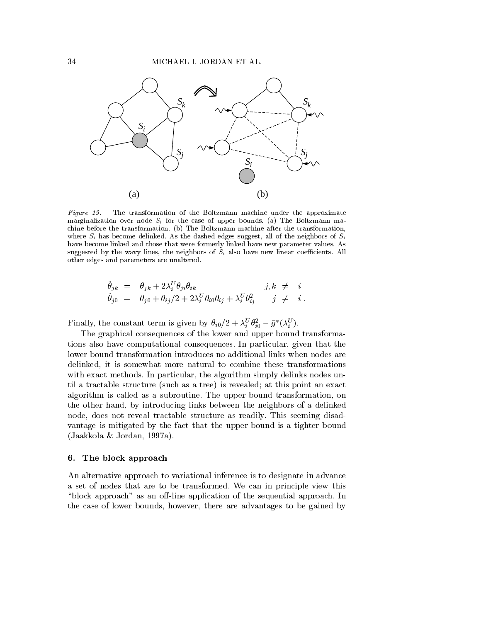

Figure 19. The transformation of the Boltzmann machine under the approximate marginalization over node  $S_i$  for the case of upper bounds. (a) The Boltzmann machine before the transformation. (b) The Boltzmann machine after the transformation, where  $S_i$  has become delinked. As the dashed edges suggest, all of the neighbors of  $S_i$ have become linked and those that were formerly linked have new parameter values. As suggested by the wavy lines, the neighbors of  $S_i$  also have new linear coefficients. All other edges and parameters are unaltered.

$$
\begin{array}{rcl}\n\tilde{\theta}_{jk} & = & \theta_{jk} + 2\lambda_i^U \theta_{ji} \theta_{ik} & j, k \neq i \\
\tilde{\theta}_{j0} & = & \theta_{j0} + \theta_{ij}/2 + 2\lambda_i^U \theta_{i0} \theta_{ij} + \lambda_i^U \theta_{ij}^2 & j \neq i\n\end{array}.
$$

Finally, the constant term is given by  $\theta_{i0}/2 + \lambda_i^U \theta_{i0}^2 - \bar{g}^*(\lambda_i^U)$ .

The graphical consequences of the lower and upper bound transformations also have computational consequences. In particular, given that the lower bound transformation introduces no additional links when nodes are delinked, it is somewhat more natural to combine these transformations with exact methods. In particular, the algorithm simply delinks nodes until a tractable structure (such as a tree) is revealed; at this point an exact algorithm is called as a subroutine. The upper bound transformation, on the other hand, by introducing links between the neighbors of a delinked node, does not reveal tractable structure as readily. This seeming disadvantage is mitigated by the fact that the upper bound is a tighter bound (Jaakkola & Jordan, 1997a).

# 6. The block approach

An alternative approach to variational inference is to designate in advance a set of nodes that are to be transformed. We can in principle view this "block approach" as an off-line application of the sequential approach. In the case of lower bounds, however, there are advantages to be gained by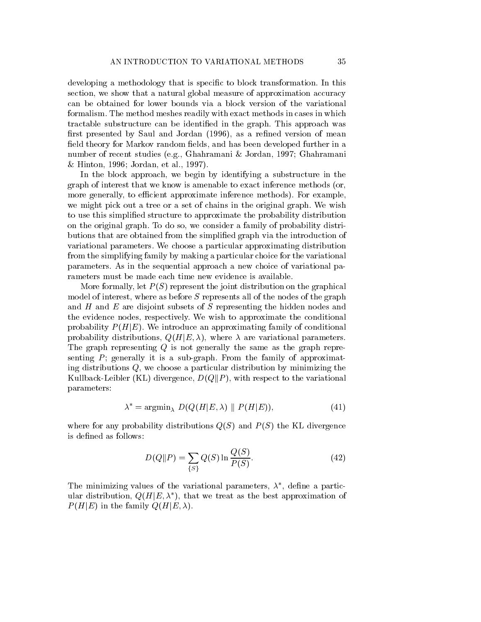developing a methodology that is specific to block transformation. In this section, we show that a natural global measure of approximation accuracy can be obtained for lower bounds via a block version of the variational formalism. The method meshes readily with exact methods in cases in which tractable substructure can be identied in the graph. This approach was first presented by Saul and Jordan  $(1996)$ , as a refined version of mean field theory for Markov random fields, and has been developed further in a number of recent studies (e.g., Ghahramani & Jordan, 1997; Ghahramani & Hinton, 1996; Jordan, et al., 1997).

In the block approach, we begin by identifying a substructure in the graph of interest that we know is amenable to exact inference methods (or, more generally, to efficient approximate inference methods). For example, we might pick out a tree or a set of chains in the original graph. We wish to use this simplied structure to approximate the probability distribution on the original graph. To do so, we consider a family of probability distributions that are obtained from the simplied graph via the introduction of variational parameters. We choose a particular approximating distribution from the simplifying family by making a particular choice for the variational parameters. As in the sequential approach a new choice of variational parameters must be made each time new evidence is available.

More formally, let  $P(S)$  represent the joint distribution on the graphical model of interest, where as before  $S$  represents all of the nodes of the graph and  $H$  and  $E$  are disjoint subsets of  $S$  representing the hidden nodes and the evidence nodes, respectively. We wish to approximate the conditional probability  $P(H|E)$ . We introduce an approximating family of conditional probability distributions,  $Q(H|E, \lambda)$ , where  $\lambda$  are variational parameters. The graph representing  $Q$  is not generally the same as the graph representing  $P$ ; generally it is a sub-graph. From the family of approximating distributions  $Q$ , we choose a particular distribution by minimizing the Kullback-Leibler (KL) divergence,  $D(Q||P)$ , with respect to the variational parameters:

$$
\lambda^* = \operatorname{argmin}_{\lambda} D(Q(H|E, \lambda) \parallel P(H|E)), \tag{41}
$$

where for any probability distributions  $Q(S)$  and  $P(S)$  the KL divergence is defined as follows:

$$
D(Q||P) = \sum_{\{S\}} Q(S) \ln \frac{Q(S)}{P(S)}.
$$
\n(42)

The minimizing values of the variational parameters,  $\lambda^*$ , define a particular distribution,  $Q(H|E, \lambda^*)$ , that we treat as the best approximation of  $P(H|E)$  in the family  $Q(H|E, \lambda)$ .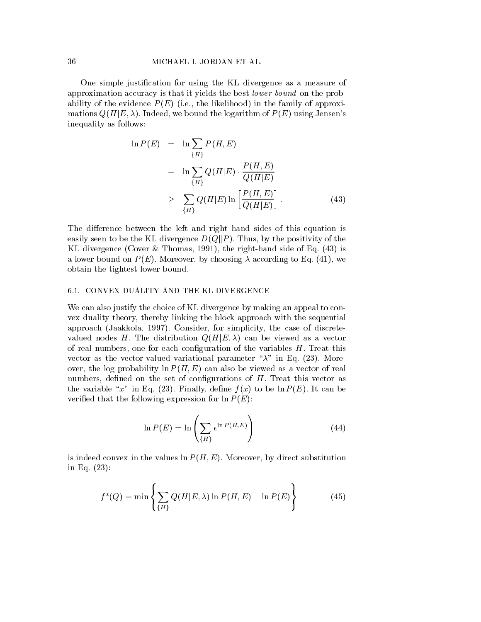One simple justication for using the KL divergence as a measure of approximation accuracy is that it yields the best lower bound on the probability of the evidence  $P(E)$  (i.e., the likelihood) in the family of approximations  $Q(H|E, \lambda)$ . Indeed, we bound the logarithm of  $P(E)$  using Jensen's inequality as follows:

$$
\ln P(E) = \ln \sum_{\{H\}} P(H, E)
$$
  
\n
$$
= \ln \sum_{\{H\}} Q(H|E) \cdot \frac{P(H, E)}{Q(H|E)}
$$
  
\n
$$
\geq \sum_{\{H\}} Q(H|E) \ln \left[ \frac{P(H, E)}{Q(H|E)} \right]. \tag{43}
$$

The difference between the left and right hand sides of this equation is easily seen to be the KL divergence  $D(Q||P)$ . Thus, by the positivity of the KL divergence (Cover & Thomas, 1991), the right-hand side of Eq. (43) is a lower bound on  $P(E)$ . Moreover, by choosing  $\lambda$  according to Eq. (41), we obtain the tightest lower bound.

# 6.1. CONVEX DUALITY AND THE KL DIVERGENCE

We can also justify the choice of KL divergence by making an appeal to convex duality theory, thereby linking the block approach with the sequential approach (Jaakkola, 1997). Consider, for simplicity, the case of discretevalued nodes H. The distribution  $Q(H|E, \lambda)$  can be viewed as a vector of real numbers, one for each configuration of the variables  $H$ . Treat this vector as the vector-valued variational parameter " $\lambda$ " in Eq. (23). Moreover, the log probability  $\ln P(H, E)$  can also be viewed as a vector of real numbers, defined on the set of configurations of  $H$ . Treat this vector as the variable "x" in Eq. (23). Finally, define  $f(x)$  to be ln  $P(E)$ . It can be verified that the following expression for  $\ln P(E)$ :

$$
\ln P(E) = \ln \left( \sum_{\{H\}} e^{\ln P(H,E)} \right) \tag{44}
$$

is indeed convex in the values  $\ln P(H, E)$ . Moreover, by direct substitution in Eq. (23):

$$
f^*(Q) = \min\left\{\sum_{\{H\}} Q(H|E,\lambda)\ln P(H,E) - \ln P(E)\right\}
$$
(45)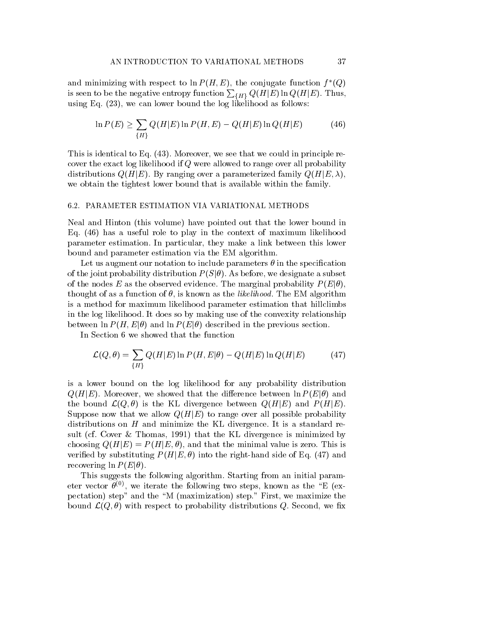and minimizing with respect to  $\ln P(H, E)$ , the conjugate function  $f^*(Q)$ is seen to be the negative entropy function  $\sum_{\{H\}} Q(H|E)$  ln  $Q(H|E)$ . Thus, using Eq. (23), we can lower bound the log likelihood as follows:

$$
\ln P(E) \ge \sum_{\{H\}} Q(H|E) \ln P(H,E) - Q(H|E) \ln Q(H|E) \tag{46}
$$

This is identical to Eq. (43). Moreover, we see that we could in principle recover the exact log likelihood if Q were allowed to range over all probability distributions  $Q(H|E)$ . By ranging over a parameterized family  $Q(H|E, \lambda)$ , we obtain the tightest lower bound that is available within the family.

### 6.2. PARAMETER ESTIMATION VIA VARIATIONAL METHODS

Neal and Hinton (this volume) have pointed out that the lower bound in Eq. (46) has a useful role to play in the context of maximum likelihood parameter estimation. In particular, they make a link between this lower bound and parameter estimation via the EM algorithm.

Let us augment our notation to include parameters  $\theta$  in the specification of the joint probability distribution  $P(S|\theta)$ . As before, we designate a subset of the nodes E as the observed evidence. The marginal probability  $P(E|\theta)$ , thought of as a function of  $\theta$ , is known as the *likelihood*. The EM algorithm is a method for maximum likelihood parameter estimation that hillclimbs in the log likelihood. It does so by making use of the convexity relationship between  $\ln P(H, E|\theta)$  and  $\ln P(E|\theta)$  described in the previous section.

In Section 6 we showed that the function

$$
\mathcal{L}(Q,\theta) = \sum_{\{H\}} Q(H|E) \ln P(H,E|\theta) - Q(H|E) \ln Q(H|E) \tag{47}
$$

is a lower bound on the log likelihood for any probability distribution  $Q(H|E)$ . Moreover, we showed that the difference between  $\ln P(E|\theta)$  and the bound  $\mathcal{L}(Q, \theta)$  is the KL divergence between  $Q(H|E)$  and  $P(H|E)$ . Suppose now that we allow  $Q(H|E)$  to range over all possible probability distributions on  $H$  and minimize the KL divergence. It is a standard result (cf. Cover & Thomas, 1991) that the KL divergence is minimized by choosing  $Q(H|E) = P(H|E, \theta)$ , and that the minimal value is zero. This is verified by substituting  $P(H|E,\theta)$  into the right-hand side of Eq. (47) and recovering  $\ln P(E|\theta)$ .

This suggests the following algorithm. Starting from an initial parameter vector  $\sigma^{<\gamma}$ , we iterate the following two steps, known as the  $\mathbb{E}$  (expectation) step" and the \M (maximization) step." First, we maximize the bound  $\mathcal{L}(Q, \theta)$  with respect to probability distributions Q. Second, we fix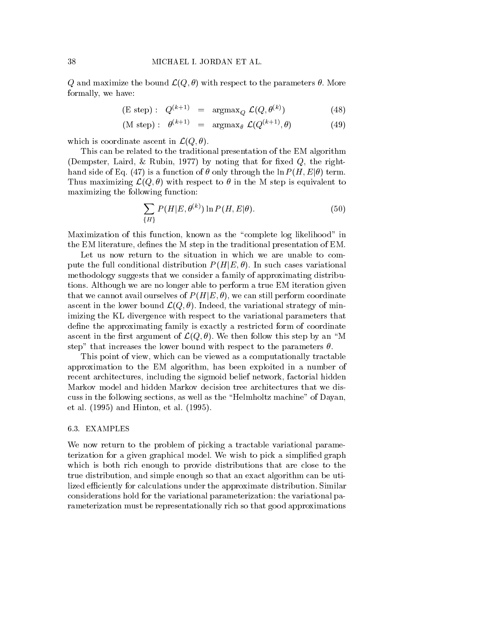Q and maximize the bound  $\mathcal{L}(Q, \theta)$  with respect to the parameters  $\theta$ . More formally, we have:

$$
(\text{E step}): \quad Q^{(k+1)} = \text{argmax}_{Q} \ \mathcal{L}(Q, \theta^{(k)}) \tag{48}
$$

$$
\text{(M step):} \quad \theta^{(k+1)} \quad = \quad \operatorname{argmax}_{\theta} \mathcal{L}(Q^{(k+1)}, \theta) \tag{49}
$$

which is coordinate ascent in  $\mathcal{L}(Q, \theta)$ .

This can be related to the traditional presentation of the EM algorithm (Dempster, Laird, & Rubin, 1977) by noting that for fixed  $Q$ , the righthand side of Eq. (47) is a function of  $\theta$  only through the ln  $P(H, E|\theta)$  term. Thus maximizing  $\mathcal{L}(Q, \theta)$  with respect to  $\theta$  in the M step is equivalent to maximizing the following function:

$$
\sum_{\{H\}} P(H|E, \theta^{(k)}) \ln P(H, E|\theta). \tag{50}
$$

Maximization of this function, known as the "complete log likelihood" in the EM literature, defines the M step in the traditional presentation of EM.

Let us now return to the situation in which we are unable to compute the full conditional distribution  $P(H|E, \theta)$ . In such cases variational methodology suggests that we consider a family of approximating distributions. Although we are no longer able to perform a true EM iteration given that we cannot avail ourselves of  $P(H|E, \theta)$ , we can still perform coordinate ascent in the lower bound  $\mathcal{L}(Q, \theta)$ . Indeed, the variational strategy of minimizing the KL divergence with respect to the variational parameters that define the approximating family is exactly a restricted form of coordinate ascent in the first argument of  $\mathcal{L}(Q, \theta)$ . We then follow this step by an "M step" that increases the lower bound with respect to the parameters  $\theta$ .

This point of view, which can be viewed as a computationally tractable approximation to the EM algorithm, has been exploited in a number of recent architectures, including the sigmoid belief network, factorial hidden Markov model and hidden Markov decision tree architectures that we discuss in the following sections, as well as the \Helmholtz machine" of Dayan, et al. (1995) and Hinton, et al. (1995).

#### 6.3. EXAMPLES

We now return to the problem of picking a tractable variational parameterization for a given graphical model. We wish to pick a simplied graph which is both rich enough to provide distributions that are close to the true distribution, and simple enough so that an exact algorithm can be utilized efficiently for calculations under the approximate distribution. Similar considerations hold for the variational parameterization: the variational parameterization must be representationally rich so that good approximations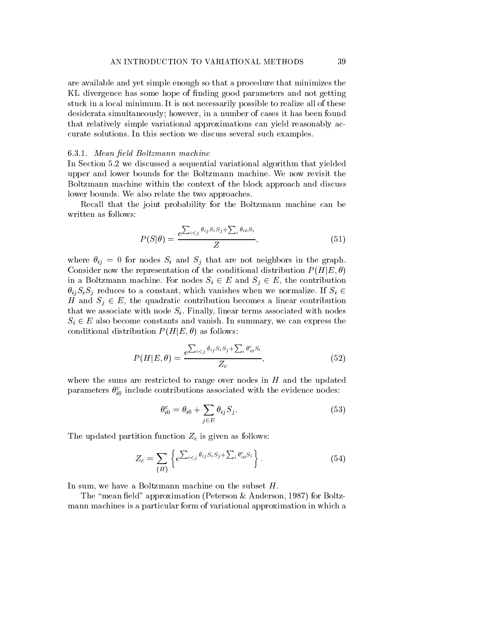are available and yet simple enough so that a procedure that minimizes the KL divergence has some hope of finding good parameters and not getting stuck in a local minimum. It is not necessarily possible to realize all of these desiderata simultaneously; however, in a number of cases it has been found that relatively simple variational approximations can yield reasonably accurate solutions. In this section we discuss several such examples.

#### 6.3.1. Mean field Boltzmann machine

In Section 5.2 we discussed a sequential variational algorithm that yielded upper and lower bounds for the Boltzmann machine. We now revisit the Boltzmann machine within the context of the block approach and discuss lower bounds. We also relate the two approaches.

Recall that the joint probability for the Boltzmann machine can be written as follows:

$$
P(S|\theta) = \frac{e^{\sum_{i < j} \theta_{ij} S_i S_j + \sum_i \theta_{i0} S_i}}{Z},\tag{51}
$$

where  $\theta_{ij} = 0$  for nodes  $S_i$  and  $S_j$  that are not neighbors in the graph. Consider now the representation of the conditional distribution  $P(H|E, \theta)$ in a Boltzmann machine. For nodes  $S_i \in E$  and  $S_j \in E$ , the contribution  $\theta_{ij}S_iS_j$  reduces to a constant, which vanishes when we normalize. If  $S_i \in$ H and  $S_i \in E$ , the quadratic contribution becomes a linear contribution that we associate with node  $S_i$ . Finally, linear terms associated with nodes  $S_i \in E$  also become constants and vanish. In summary, we can express the conditional distribution  $P(H|E, \theta)$  as follows:

$$
P(H|E,\theta) = \frac{e^{\sum_{i < j} \theta_{ij} S_i S_j + \sum_i \theta_{i0}^c S_i}}{Z_c},\tag{52}
$$

where the sums are restricted to range over nodes in  $H$  and the updated parameters  $\sigma_{i0}^*$  include contributions associated with the evidence hodes:

$$
\theta_{i0}^c = \theta_{i0} + \sum_{j \in E} \theta_{ij} S_j. \tag{53}
$$

The updated partition function  $Z_c$  is given as follows:

$$
Z_c = \sum_{\{H\}} \left\{ e^{\sum_{i < j} \theta_{ij} S_i S_j + \sum_i \theta_{i0}^c S_i} \right\} . \tag{54}
$$

In sum, we have a Boltzmann machine on the subset H.

The "mean field" approximation (Peterson & Anderson, 1987) for Boltzmann machines is a particular form of variational approximation in which a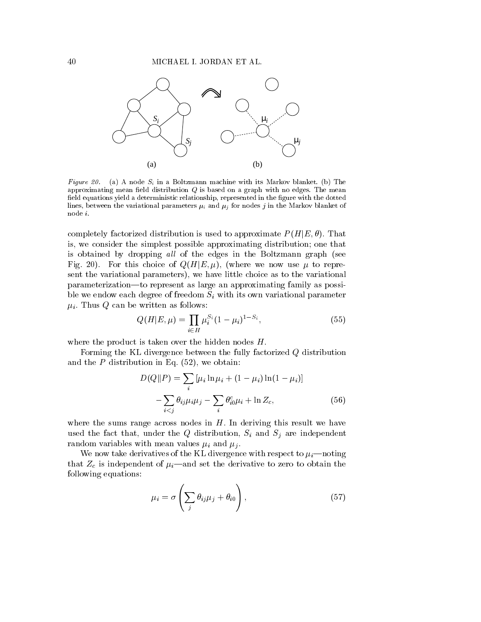

Figure 20. (a) A node  $S_i$  in a Boltzmann machine with its Markov blanket. (b) The approximating mean field distribution  $Q$  is based on a graph with no edges. The mean field equations yield a deterministic relationship, represented in the figure with the dotted lines, between the variational parameters  $\mu_i$  and  $\mu_j$  for nodes j in the Markov blanket of node i.

completely factorized distribution is used to approximate  $P(H|E, \theta)$ . That is, we consider the simplest possible approximating distribution; one that is obtained by dropping all of the edges in the Boltzmann graph (see Fig. 20). For this choice of  $Q(H|E,\mu)$ , (where we now use  $\mu$  to represent the variational parameters), we have little choice as to the variational parameterization—to represent as large an approximating family as possible we endow each degree of freedom  $S_i$  with its own variational parameter  $\mu_i$ . Thus Q can be written as follows:

$$
Q(H|E,\mu) = \prod_{i \in H} \mu_i^{S_i} (1 - \mu_i)^{1 - S_i},\tag{55}
$$

where the product is taken over the hidden nodes  $H$ .

Forming the KL divergence between the fully factorized Q distribution and the  $P$  distribution in Eq.  $(52)$ , we obtain:

$$
D(Q||P) = \sum_{i} [\mu_i \ln \mu_i + (1 - \mu_i) \ln(1 - \mu_i)] - \sum_{i < j} \theta_{ij} \mu_i \mu_j - \sum_{i} \theta_{i0}^c \mu_i + \ln Z_c,\tag{56}
$$

where the sums range across nodes in  $H$ . In deriving this result we have used the fact that, under the Q distribution,  $S_i$  and  $S_j$  are independent random variables with mean values  $\mu_i$  and  $\mu_j$ .

We now take derivatives of the KL divergence with respect to  $\mu_i$ —noting that  $Z_c$  is independent of  $\mu_i$ —and set the derivative to zero to obtain the following equations:

$$
\mu_i = \sigma \left( \sum_j \theta_{ij} \mu_j + \theta_{i0} \right), \qquad (57)
$$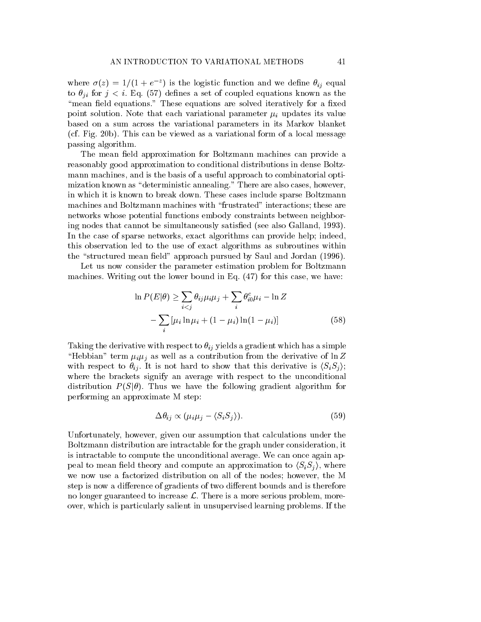where  $\sigma(z) = 1/(1 + e^{-z})$  is the logistic function and we define  $\theta_{ij}$  equal to  $\theta_{ji}$  for  $j < i$ . Eq. (57) defines a set of coupled equations known as the "mean field equations." These equations are solved iteratively for a fixed point solution. Note that each variational parameter  $\mu_i$  updates its value based on a sum across the variational parameters in its Markov blanket (cf. Fig. 20b). This can be viewed as a variational form of a local message passing algorithm.

The mean field approximation for Boltzmann machines can provide a reasonably good approximation to conditional distributions in dense Boltzmann machines, and is the basis of a useful approach to combinatorial optimization known as "deterministic annealing." There are also cases, however, in which it is known to break down. These cases include sparse Boltzmann machines and Boltzmann machines with \frustrated" interactions; these are networks whose potential functions embody constraints between neighboring nodes that cannot be simultaneously satised (see also Galland, 1993). In the case of sparse networks, exact algorithms can provide help; indeed, this observation led to the use of exact algorithms as subroutines within the "structured mean field" approach pursued by Saul and Jordan (1996).

Let us now consider the parameter estimation problem for Boltzmann machines. Writing out the lower bound in Eq. (47) for this case, we have:

$$
\ln P(E|\theta) \ge \sum_{i < j} \theta_{ij} \mu_i \mu_j + \sum_i \theta_{i0}^c \mu_i - \ln Z
$$
\n
$$
- \sum_i \left[ \mu_i \ln \mu_i + (1 - \mu_i) \ln(1 - \mu_i) \right] \tag{58}
$$

Taking the derivative with respect to  $\theta_{ij}$  yields a gradient which has a simple "Hebbian" term  $\mu_i \mu_j$  as well as a contribution from the derivative of ln Z with respect to  $\theta_{ij}$ . It is not hard to show that this derivative is  $\langle S_i S_j \rangle$ ; where the brackets signify an average with respect to the unconditional distribution  $P(S|\theta)$ . Thus we have the following gradient algorithm for performing an approximate M step:

$$
\Delta \theta_{ij} \propto (\mu_i \mu_j - \langle S_i S_j \rangle). \tag{59}
$$

Unfortunately, however, given our assumption that calculations under the Boltzmann distribution are intractable for the graph under consideration, it is intractable to compute the unconditional average. We can once again appeal to mean field theory and compute an approximation to  $\langle S_i S_j \rangle$ , where we now use a factorized distribution on all of the nodes; however, the M step is now a difference of gradients of two different bounds and is therefore no longer guaranteed to increase  $\mathcal{L}$ . There is a more serious problem, moreover, which is particularly salient in unsupervised learning problems. If the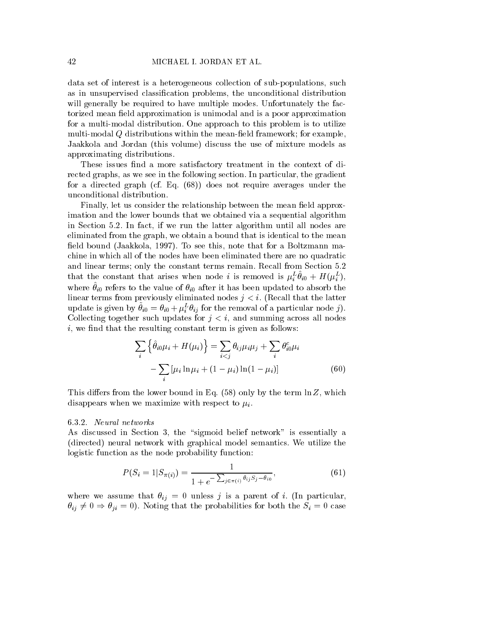data set of interest is a heterogeneous collection of sub-populations, such as in unsupervised classication problems, the unconditional distribution will generally be required to have multiple modes. Unfortunately the factorized mean field approximation is unimodal and is a poor approximation for a multi-modal distribution. One approach to this problem is to utilize multi-modal  $Q$  distributions within the mean-field framework; for example, Jaakkola and Jordan (this volume) discuss the use of mixture models as approximating distributions.

These issues find a more satisfactory treatment in the context of directed graphs, as we see in the following section. In particular, the gradient for a directed graph (cf. Eq. (68)) does not require averages under the unconditional distribution.

Finally, let us consider the relationship between the mean field approximation and the lower bounds that we obtained via a sequential algorithm in Section 5.2. In fact, if we run the latter algorithm until all nodes are eliminated from the graph, we obtain a bound that is identical to the mean field bound (Jaakkola, 1997). To see this, note that for a Boltzmann machine in which all of the nodes have been eliminated there are no quadratic and linear terms; only the constant terms remain. Recall from Section 5.2 that the constant that arises when node *i* is removed is  $\mu_i^-\nu_{i0} + H(\mu_i^-)$ , where  $v_{i0}$  refers to the value of  $v_{i0}$  after it has been updated to absorb the linear terms from previously eliminated nodes  $j < i$ . (Recall that the latter update is given by  $\sigma_{i0} = \sigma_{i0} + \mu_i \sigma_{ij}$  for the removal of a particular hode *j*). Collecting together such updates for  $j < i$ , and summing across all nodes  $i$ , we find that the resulting constant term is given as follows:

$$
\sum_{i} \left\{ \hat{\theta}_{i0} \mu_{i} + H(\mu_{i}) \right\} = \sum_{i < j} \theta_{ij} \mu_{i} \mu_{j} + \sum_{i} \theta_{i0}^{c} \mu_{i} - \sum_{i} \left[ \mu_{i} \ln \mu_{i} + (1 - \mu_{i}) \ln(1 - \mu_{i}) \right] \tag{60}
$$

This differs from the lower bound in Eq.  $(58)$  only by the term  $\ln Z$ , which disappears when we maximize with respect to  $\mu_i$ .

#### 6.3.2. Neural networks

As discussed in Section 3, the "sigmoid belief network" is essentially a (directed) neural network with graphical model semantics. We utilize the logistic function as the node probability function:

$$
P(S_i = 1 | S_{\pi(i)}) = \frac{1}{1 + e^{-\sum_{j \in \pi(i)} \theta_{ij} S_j - \theta_{i0}}},
$$
\n(61)

where we assume that  $\theta_{ij} = 0$  unless j is a parent of i. (In particular,  $\theta_{ij} \neq 0 \Rightarrow \theta_{ji} = 0$ . Noting that the probabilities for both the  $S_i = 0$  case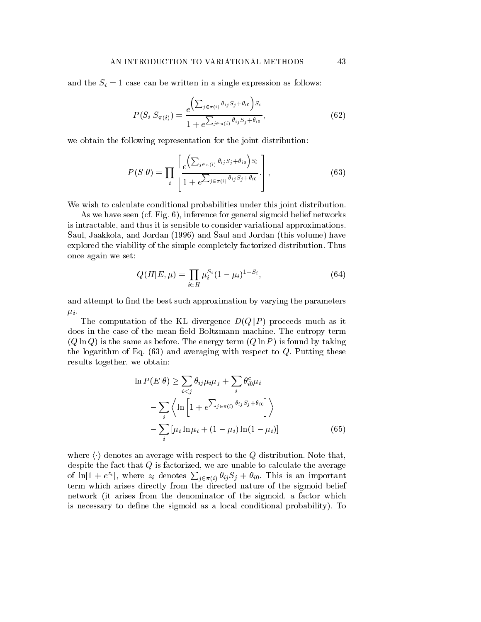and the  $S_i = 1$  case can be written in a single expression as follows:

$$
P(S_i|S_{\pi(i)}) = \frac{e^{\left(\sum_{j \in \pi(i)} \theta_{ij} S_j + \theta_{i0}\right) S_i}}{1 + e^{\sum_{j \in \pi(i)} \theta_{ij} S_j + \theta_{i0}}},\tag{62}
$$

we obtain the following representation for the joint distribution:

$$
P(S|\theta) = \prod_{i} \left[ \frac{e^{\left(\sum_{j \in \pi(i)} \theta_{ij} S_j + \theta_{i0}\right) S_i}}{1 + e^{\sum_{j \in \pi(i)} \theta_{ij} S_j + \theta_{i0}}} \right],\tag{63}
$$

We wish to calculate conditional probabilities under this joint distribution.

As we have seen (cf. Fig. 6), inference for general sigmoid belief networks is intractable, and thus it is sensible to consider variational approximations. Saul, Jaakkola, and Jordan (1996) and Saul and Jordan (this volume) have explored the viability of the simple completely factorized distribution. Thus once again we set:

$$
Q(H|E,\mu) = \prod_{i \in H} \mu_i^{S_i} (1 - \mu_i)^{1 - S_i},\tag{64}
$$

and attempt to find the best such approximation by varying the parameters  $\mu_i$ .

The computation of the KL divergence  $D(Q||P)$  proceeds much as it does in the case of the mean field Boltzmann machine. The entropy term  $(Q \ln Q)$  is the same as before. The energy term  $(Q \ln P)$  is found by taking the logarithm of Eq.  $(63)$  and averaging with respect to Q. Putting these results together, we obtain:

$$
\ln P(E|\theta) \ge \sum_{i < j} \theta_{ij} \mu_i \mu_j + \sum_i \theta_{i0}^c \mu_i
$$
\n
$$
- \sum_i \left\langle \ln \left[ 1 + e^{\sum_{j \in \pi(i)} \theta_{ij} S_j + \theta_{i0}} \right] \right\rangle
$$
\n
$$
- \sum_i \left[ \mu_i \ln \mu_i + (1 - \mu_i) \ln(1 - \mu_i) \right] \tag{65}
$$

where  $\langle \cdot \rangle$  denotes an average with respect to the Q distribution. Note that, despite the fact that  $Q$  is factorized, we are unable to calculate the average of  $\ln[1 + e^{z_i}]$ , where  $z_i$  denotes  $\sum_{j \in \pi(i)} \theta_{ij} S_j + \theta_{i0}$ . This is an important term which arises directly from the directed nature of the sigmoid belief network (it arises from the denominator of the sigmoid, a factor which is necessary to define the sigmoid as a local conditional probability). To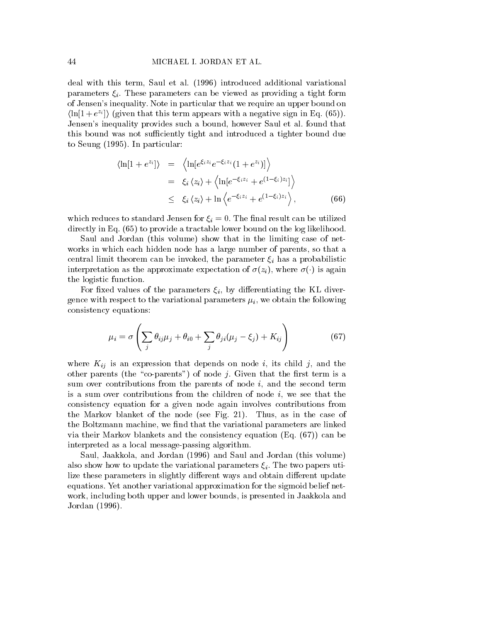deal with this term, Saul et al. (1996) introduced additional variational parameters  $\xi_i$ . These parameters can be viewed as providing a tight form of Jensen's inequality. Note in particular that we require an upper bound on  $\min[1 + e^*]$  (given that this term appears with a negative sign in Eq. (65)). Jensen's inequality provides such a bound, however Saul et al. found that this bound was not sufficiently tight and introduced a tighter bound due to Seung (1995). In particular:

$$
\langle \ln[1 + e^{z_i}] \rangle = \langle \ln[e^{\xi_i z_i} e^{-\xi_i z_i} (1 + e^{z_i})] \rangle
$$
  
\n
$$
= \xi_i \langle z_i \rangle + \langle \ln[e^{-\xi_i z_i} + e^{(1 - \xi_i) z_i}] \rangle
$$
  
\n
$$
\leq \xi_i \langle z_i \rangle + \ln \langle e^{-\xi_i z_i} + e^{(1 - \xi_i) z_i} \rangle,
$$
 (66)

which reduces to standard Jensen for  $\xi_i = 0$ . The final result can be utilized directly in Eq. (65) to provide a tractable lower bound on the log likelihood.

Saul and Jordan (this volume) show that in the limiting case of networks in which each hidden node has a large number of parents, so that a central limit theorem can be invoked, the parameter  $\xi_i$  has a probabilistic interpretation as the approximate expectation of  $\sigma(z_i)$ , where  $\sigma(\cdot)$  is again the logistic function.

For fixed values of the parameters  $\xi_i$ , by differentiating the KL divergence with respect to the variational parameters  $\mu_i$ , we obtain the following consistency equations:

$$
\mu_i = \sigma \left( \sum_j \theta_{ij} \mu_j + \theta_{i0} + \sum_j \theta_{ji} (\mu_j - \xi_j) + K_{ij} \right) \tag{67}
$$

where  $K_{ij}$  is an expression that depends on node i, its child j, and the other parents (the "co-parents") of node j. Given that the first term is a sum over contributions from the parents of node  $i$ , and the second term is a sum over contributions from the children of node  $i$ , we see that the consistency equation for a given node again involves contributions from the Markov blanket of the node (see Fig. 21). Thus, as in the case of the Boltzmann machine, we find that the variational parameters are linked via their Markov blankets and the consistency equation (Eq. (67)) can be interpreted as a local message-passing algorithm.

Saul, Jaakkola, and Jordan (1996) and Saul and Jordan (this volume) also show how to update the variational parameters  $\xi_i$ . The two papers utilize these parameters in slightly different ways and obtain different update equations. Yet another variational approximation for the sigmoid belief network, including both upper and lower bounds, is presented in Jaakkola and Jordan (1996).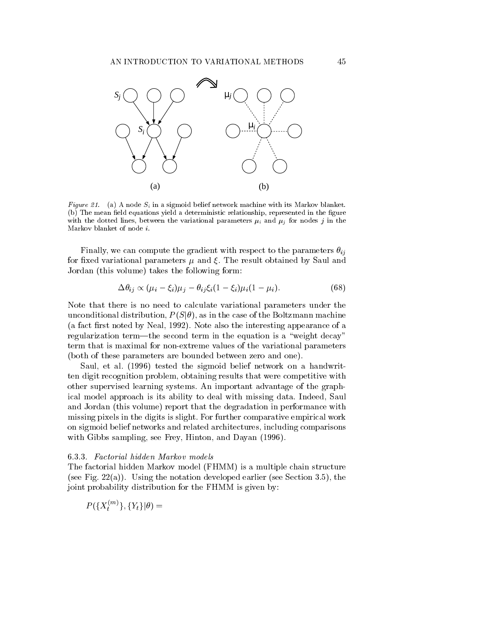

Figure 21. (a) A node  $S_i$  in a sigmoid belief network machine with its Markov blanket. (b) The mean field equations yield a deterministic relationship, represented in the figure with the dotted lines, between the variational parameters  $\mu_i$  and  $\mu_j$  for nodes j in the Markov blanket of node i.

Finally, we can compute the gradient with respect to the parameters  $\theta_{ij}$ for fixed variational parameters  $\mu$  and  $\xi$ . The result obtained by Saul and Jordan (this volume) takes the following form:

$$
\Delta \theta_{ij} \propto (\mu_i - \xi_i) \mu_j - \theta_{ij} \xi_i (1 - \xi_i) \mu_i (1 - \mu_i). \tag{68}
$$

Note that there is no need to calculate variational parameters under the unconditional distribution,  $P(S|\theta)$ , as in the case of the Boltzmann machine (a fact first noted by Neal,  $1992$ ). Note also the interesting appearance of a regularization term—the second term in the equation is a "weight decay" term that is maximal for non-extreme values of the variational parameters (both of these parameters are bounded between zero and one).

Saul, et al. (1996) tested the sigmoid belief network on a handwritten digit recognition problem, obtaining results that were competitive with other supervised learning systems. An important advantage of the graphical model approach is its ability to deal with missing data. Indeed, Saul and Jordan (this volume) report that the degradation in performance with missing pixels in the digits is slight. For further comparative empirical work on sigmoid belief networks and related architectures, including comparisons with Gibbs sampling, see Frey, Hinton, and Dayan (1996).

# 6.3.3. Factorial hidden Markov models

The factorial hidden Markov model (FHMM) is a multiple chain structure (see Fig. 22(a)). Using the notation developed earlier (see Section 3.5), the joint probability distribution for the FHMM is given by:

$$
P(\{X_t^{(m)}\}, \{Y_t\}|\theta) =
$$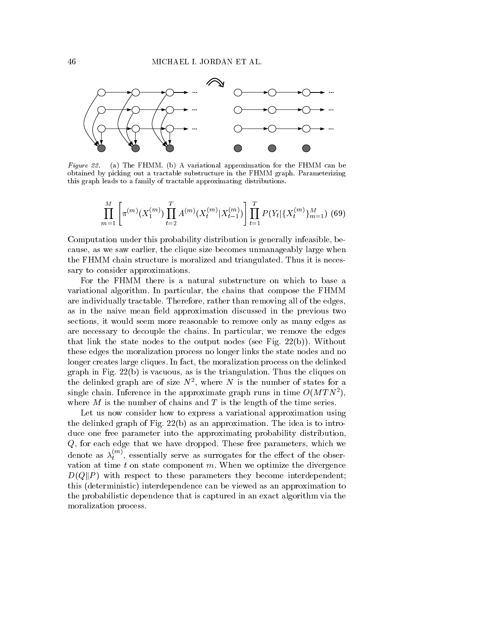

Figure 22. (a) The FHMM. (b) A variational approximation for the FHMM can be obtained by picking out a tractable substructure in the FHMM graph. Parameterizing this graph leads to a family of tractable approximating distributions.

$$
\prod_{m=1}^{M} \left[ \pi^{(m)}(X_1^{(m)}) \prod_{t=2}^{T} A^{(m)}(X_t^{(m)} | X_{t-1}^{(m)}) \right] \prod_{t=1}^{T} P(Y_t | \{X_t^{(m)}\}_{m=1}^{M}) \tag{69}
$$

Computation under this probability distribution is generally infeasible, because, as we saw earlier, the clique size becomes unmanageably large when the FHMM chain structure is moralized and triangulated. Thus it is necessary to consider approximations.

For the FHMM there is a natural substructure on which to base a variational algorithm. In particular, the chains that compose the FHMM are individually tractable. Therefore, rather than removing all of the edges, as in the naive mean field approximation discussed in the previous two sections, it would seem more reasonable to remove only as many edges as are necessary to decouple the chains. In particular, we remove the edges that link the state nodes to the output nodes (see Fig.  $22(b)$ ). Without these edges the moralization process no longer links the state nodes and no longer creates large cliques. In fact, the moralization process on the delinked graph in Fig. 22(b) is vacuous, as is the triangulation. Thus the cliques on the definition graph are of size  $N^2$ , where  $N$  is the number of states for a single chain. Inference in the approximate graph runs in time  $O(MT/N_z)$ , where  $M$  is the number of chains and  $T$  is the length of the time series.

Let us now consider how to express a variational approximation using the delinked graph of Fig. 22(b) as an approximation. The idea is to introduce one free parameter into the approximating probability distribution, Q, for each edge that we have dropped. These free parameters, which we denote as  $\lambda_i^{(m)}$ , essentially serve as surrogates for the effect of the observation at time t on state component m. When we optimize the divergence  $D(Q||P)$  with respect to these parameters they become interdependent; this (deterministic) interdependence can be viewed as an approximation to the probabilistic dependence that is captured in an exact algorithm via the moralization process.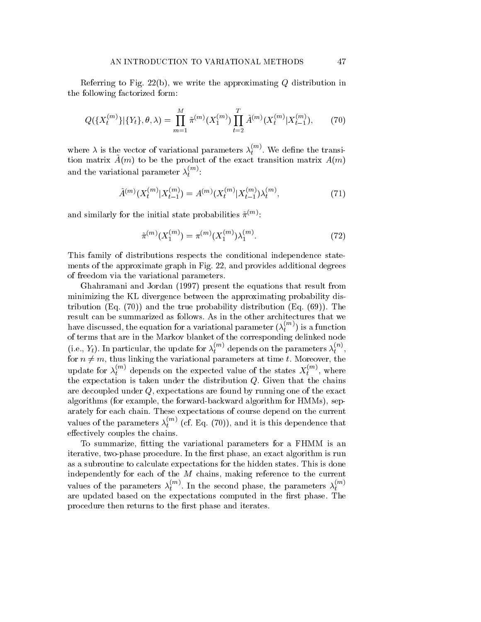Referring to Fig. 22(b), we write the approximating  $Q$  distribution in the following factorized form:

$$
Q(\{X_t^{(m)}\}|\{Y_t\},\theta,\lambda) = \prod_{m=1}^M \tilde{\pi}^{(m)}(X_1^{(m)}) \prod_{t=2}^T \tilde{A}^{(m)}(X_t^{(m)}|X_{t-1}^{(m)}),\qquad(70)
$$

where  $\lambda$  is the vector of variational parameters  $\lambda_i^{\ldots}$ . We define the transition matrix  $\tilde{A}(m)$  to be the product of the exact transition matrix  $A(m)$ and the variational parameter  $\lambda_{t}^{+}$  ':

the contract of the contract of the contract of the contract of the contract of the contract of the contract of

$$
\tilde{A}^{(m)}(X_t^{(m)}|X_{t-1}^{(m)}) = A^{(m)}(X_t^{(m)}|X_{t-1}^{(m)})\lambda_t^{(m)},\tag{71}
$$

and similarly for the initial state probabilities  $\tilde{\pi}^{(m)}$ :

$$
\tilde{\pi}^{(m)}(X_1^{(m)}) = \pi^{(m)}(X_1^{(m)})\lambda_1^{(m)}.\tag{72}
$$

This family of distributions respects the conditional independence statements of the approximate graph in Fig. 22, and provides additional degrees of freedom via the variational parameters.

Ghahramani and Jordan (1997) present the equations that result from minimizing the KL divergence between the approximating probability distribution (Eq. (70)) and the true probability distribution (Eq. (69)). The result can be summarized as follows. As in the other architectures that we have discussed, the equation for a variational parameter  $(\lambda_t^{(\cdots)})$  is a function of terms that are in the Markov blanket of the corresponding delinked node (i.e.,  $Y_t$ ). In particular, the update for  $\lambda_t^{(m)}$  depends on the parameters  $\lambda_t^{(m)}$ ,  $\iota$  , and  $\iota$ for  $n \neq m$ , thus linking the variational parameters at time t. Moreover, the update for  $\lambda_t^*$   $\prime$  depends on the expected value of the states  $X_t^*$   $\prime$  , where the contract of the contract of the contract of the contract of the contract of the contract of the contract of the expectation is taken under the distribution Q. Given that the chains are decoupled under  $Q$ , expectations are found by running one of the exact algorithms (for example, the forward-backward algorithm for HMMs), separately for each chain. These expectations of course depend on the current values of the parameters  $\lambda_t^{\text{max}}$  (cf. Eq. (70)), and it is this dependence that eectively couples the chains.

To summarize, fitting the variational parameters for a FHMM is an iterative, two-phase procedure. In the first phase, an exact algorithm is run as a subroutine to calculate expectations for the hidden states. This is done independently for each of the M chains, making reference to the current values of the parameters  $\lambda_i$  '. In the second phase, the parameters  $\lambda_i$  ' are updated based on the expectations computed in the first phase. The procedure then returns to the first phase and iterates.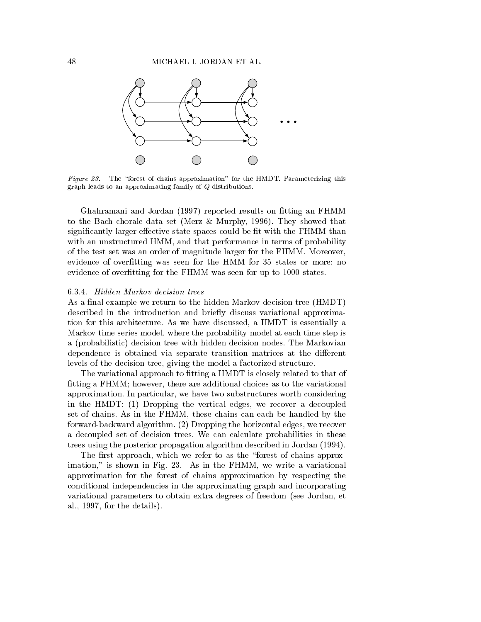

Figure 23. The "forest of chains approximation" for the HMDT. Parameterizing this graph leads to an approximating family of Q distributions.

Ghahramani and Jordan (1997) reported results on fitting an FHMM to the Bach chorale data set (Merz & Murphy, 1996). They showed that significantly larger effective state spaces could be fit with the FHMM than with an unstructured HMM, and that performance in terms of probability of the test set was an order of magnitude larger for the FHMM. Moreover, evidence of overfitting was seen for the HMM for 35 states or more; no evidence of overfitting for the FHMM was seen for up to 1000 states.

#### 6.3.4. Hidden Markov decision trees

As a final example we return to the hidden Markov decision tree (HMDT) described in the introduction and briefly discuss variational approximation for this architecture. As we have discussed, a HMDT is essentially a Markov time series model, where the probability model at each time step is a (probabilistic) decision tree with hidden decision nodes. The Markovian dependence is obtained via separate transition matrices at the different levels of the decision tree, giving the model a factorized structure.

The variational approach to fitting a HMDT is closely related to that of tting a FHMM; however, there are additional choices as to the variational approximation. In particular, we have two substructures worth considering in the HMDT: (1) Dropping the vertical edges, we recover a decoupled set of chains. As in the FHMM, these chains can each be handled by the forward-backward algorithm. (2) Dropping the horizontal edges, we recover a decoupled set of decision trees. We can calculate probabilities in these trees using the posterior propagation algorithm described in Jordan (1994).

The first approach, which we refer to as the "forest of chains approximation," is shown in Fig. 23. As in the FHMM, we write a variational approximation for the forest of chains approximation by respecting the conditional independencies in the approximating graph and incorporating variational parameters to obtain extra degrees of freedom (see Jordan, et al., 1997, for the details).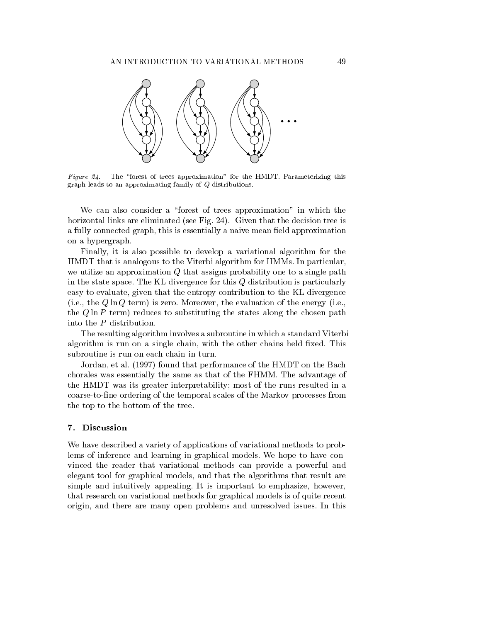

Figure 21. The "forest of trees approximation" for the HMDT. Parameterizing this graph leads to an approximating family of Q distributions.

We can also consider a "forest of trees approximation" in which the horizontal links are eliminated (see Fig. 24). Given that the decision tree is a fully connected graph, this is essentially a naive mean field approximation on a hypergraph.

Finally, it is also possible to develop a variational algorithm for the HMDT that is analogous to the Viterbi algorithm for HMMs. In particular, we utilize an approximation Q that assigns probability one to a single path in the state space. The KL divergence for this Q distribution is particularly easy to evaluate, given that the entropy contribution to the KL divergence (i.e., the  $Q \ln Q$  term) is zero. Moreover, the evaluation of the energy (i.e., the  $Q \ln P$  term) reduces to substituting the states along the chosen path into the P distribution.

The resulting algorithm involves a subroutine in which a standard Viterbi algorithm is run on a single chain, with the other chains held fixed. This subroutine is run on each chain in turn.

Jordan, et al. (1997) found that performance of the HMDT on the Bach chorales was essentially the same as that of the FHMM. The advantage of the HMDT was its greater interpretability; most of the runs resulted in a coarse-to-ne ordering of the temporal scales of the Markov processes from the top to the bottom of the tree.

# 7. Discussion

We have described a variety of applications of variational methods to problems of inference and learning in graphical models. We hope to have convinced the reader that variational methods can provide a powerful and elegant tool for graphical models, and that the algorithms that result are simple and intuitively appealing. It is important to emphasize, however, that research on variational methods for graphical models is of quite recent origin, and there are many open problems and unresolved issues. In this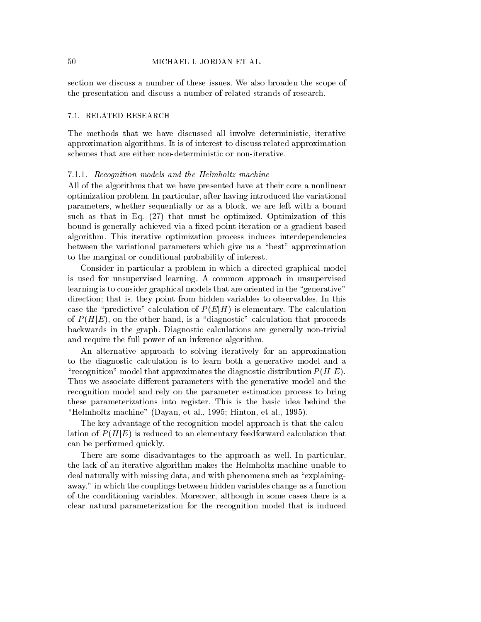section we discuss a number of these issues. We also broaden the scope of the presentation and discuss a number of related strands of research.

#### 7.1. RELATED RESEARCH

The methods that we have discussed all involve deterministic, iterative approximation algorithms. It is of interest to discuss related approximation schemes that are either non-deterministic or non-iterative.

# 7.1.1. Recognition models and the Helmholtz machine

All of the algorithms that we have presented have at their core a nonlinear optimization problem. In particular, after having introduced the variational parameters, whether sequentially or as a block, we are left with a bound such as that in Eq. (27) that must be optimized. Optimization of this bound is generally achieved via a fixed-point iteration or a gradient-based algorithm. This iterative optimization process induces interdependencies between the variational parameters which give us a \best" approximation to the marginal or conditional probability of interest.

Consider in particular a problem in which a directed graphical model is used for unsupervised learning. A common approach in unsupervised learning is to consider graphical models that are oriented in the "generative" direction; that is, they point from hidden variables to observables. In this case the "predictive" calculation of  $P (E|H)$  is elementary. The calculation of  $P(H|E)$ , on the other hand, is a "diagnostic" calculation that proceeds backwards in the graph. Diagnostic calculations are generally non-trivial and require the full power of an inference algorithm.

An alternative approach to solving iteratively for an approximation to the diagnostic calculation is to learn both a generative model and a "recognition" model that approximates the diagnostic distribution  $P(H|E)$ . Thus we associate different parameters with the generative model and the recognition model and rely on the parameter estimation process to bring these parameterizations into register. This is the basic idea behind the "Helmholtz machine" (Dayan, et al., 1995; Hinton, et al., 1995).

The key advantage of the recognition-model approach is that the calculation of  $P(H|E)$  is reduced to an elementary feedforward calculation that can be performed quickly.

There are some disadvantages to the approach as well. In particular, the lack of an iterative algorithm makes the Helmholtz machine unable to deal naturally with missing data, and with phenomena such as "explainingaway," in which the couplings between hidden variables change as a function of the conditioning variables. Moreover, although in some cases there is a clear natural parameterization for the recognition model that is induced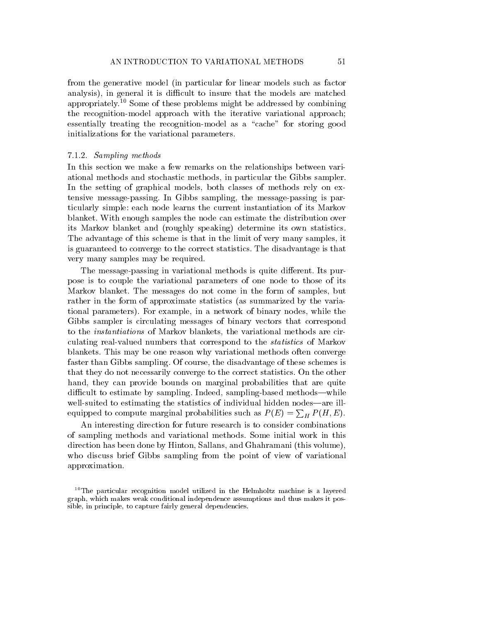from the generative model (in particular for linear models such as factor analysis), in general it is difficult to insure that the models are matched appropriately.10 Some of these problems might be addressed by combining the recognition-model approach with the iterative variational approach; essentially treating the recognition-model as a "cache" for storing good initializations for the variational parameters.

#### 7.1.2. Sampling methods

In this section we make a few remarks on the relationships between variational methods and stochastic methods, in particular the Gibbs sampler. In the setting of graphical models, both classes of methods rely on extensive message-passing. In Gibbs sampling, the message-passing is particularly simple: each node learns the current instantiation of its Markov blanket. With enough samples the node can estimate the distribution over its Markov blanket and (roughly speaking) determine its own statistics. The advantage of this scheme is that in the limit of very many samples, it is guaranteed to converge to the correct statistics. The disadvantage is that very many samples may be required.

The message-passing in variational methods is quite different. Its purpose is to couple the variational parameters of one node to those of its Markov blanket. The messages do not come in the form of samples, but rather in the form of approximate statistics (as summarized by the variational parameters). For example, in a network of binary nodes, while the Gibbs sampler is circulating messages of binary vectors that correspond to the instantiations of Markov blankets, the variational methods are circulating real-valued numbers that correspond to the statistics of Markov blankets. This may be one reason why variational methods often converge faster than Gibbs sampling. Of course, the disadvantage of these schemes is that they do not necessarily converge to the correct statistics. On the other hand, they can provide bounds on marginal probabilities that are quite difficult to estimate by sampling. Indeed, sampling-based methods—while well-suited to estimating the statistics of individual hidden nodes—are illequipped to compute marginal probabilities such as  $P(E) = \sum_{H} P(H, E)$ .

An interesting direction for future research is to consider combinations of sampling methods and variational methods. Some initial work in this direction has been done by Hinton, Sallans, and Ghahramani (this volume), who discuss brief Gibbs sampling from the point of view of variational approximation.

<sup>&</sup>lt;sup>10</sup>The particular recognition model utilized in the Helmholtz machine is a layered graph, which makes weak conditional independence assumptions and thus makes it possible, in principle, to capture fairly general dependencies.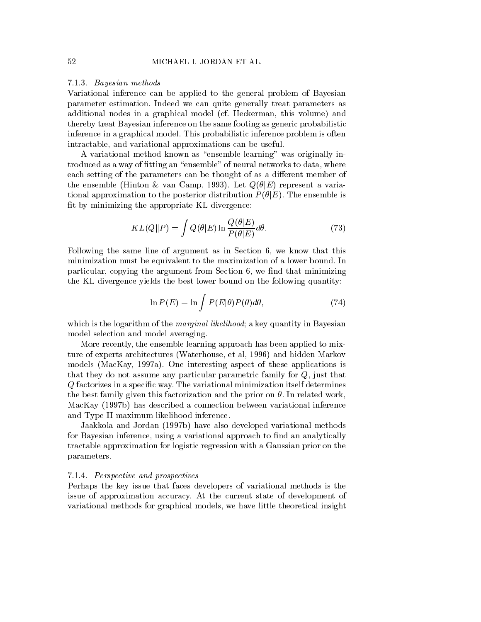#### 7.1.3. Bayesian methods

Variational inference can be applied to the general problem of Bayesian parameter estimation. Indeed we can quite generally treat parameters as additional nodes in a graphical model (cf. Heckerman, this volume) and thereby treat Bayesian inference on the same footing as generic probabilistic inference in a graphical model. This probabilistic inference problem is often intractable, and variational approximations can be useful.

A variational method known as "ensemble learning" was originally introduced as a way of fitting an "ensemble" of neural networks to data, where each setting of the parameters can be thought of as a different member of the ensemble (Hinton & van Camp, 1993). Let  $Q(\theta|E)$  represent a variational approximation to the posterior distribution  $P(\theta|E)$ . The ensemble is fit by minimizing the appropriate KL divergence:

$$
KL(Q||P) = \int Q(\theta|E) \ln \frac{Q(\theta|E)}{P(\theta|E)} d\theta.
$$
 (73)

Following the same line of argument as in Section 6, we know that this minimization must be equivalent to the maximization of a lower bound. In particular, copying the argument from Section  $6$ , we find that minimizing the KL divergence yields the best lower bound on the following quantity:

$$
\ln P(E) = \ln \int P(E|\theta) P(\theta) d\theta,\tag{74}
$$

which is the logarithm of the *marginal likelihood*; a key quantity in Bayesian model selection and model averaging.

More recently, the ensemble learning approach has been applied to mixture of experts architectures (Waterhouse, et al, 1996) and hidden Markov models (MacKay, 1997a). One interesting aspect of these applications is that they do not assume any particular parametric family for Q, just that Q factorizes in a specic way. The variational minimization itself determines the best family given this factorization and the prior on  $\theta$ . In related work, MacKay (1997b) has described a connection between variational inference and Type II maximum likelihood inference.

Jaakkola and Jordan (1997b) have also developed variational methods for Bayesian inference, using a variational approach to find an analytically tractable approximation for logistic regression with a Gaussian prior on the parameters.

# 7.1.4. Perspective and prospectives

Perhaps the key issue that faces developers of variational methods is the issue of approximation accuracy. At the current state of development of variational methods for graphical models, we have little theoretical insight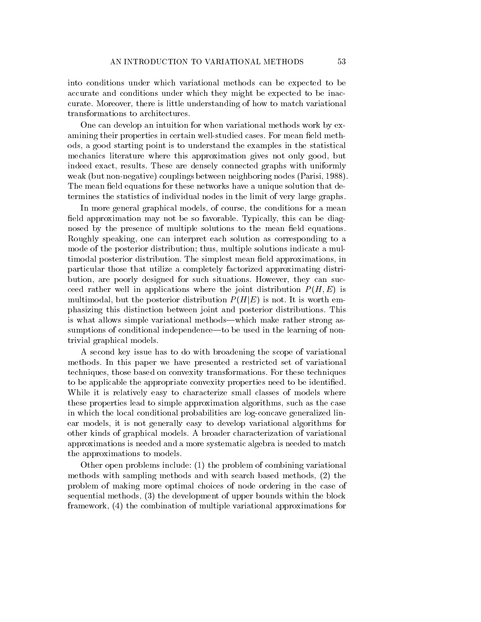into conditions under which variational methods can be expected to be accurate and conditions under which they might be expected to be inaccurate. Moreover, there is little understanding of how to match variational transformations to architectures.

One can develop an intuition for when variational methods work by examining their properties in certain well-studied cases. For mean field methods, a good starting point is to understand the examples in the statistical mechanics literature where this approximation gives not only good, but indeed exact, results. These are densely connected graphs with uniformly weak (but non-negative) couplings between neighboring nodes (Parisi, 1988). The mean field equations for these networks have a unique solution that determines the statistics of individual nodes in the limit of very large graphs.

In more general graphical models, of course, the conditions for a mean field approximation may not be so favorable. Typically, this can be diagnosed by the presence of multiple solutions to the mean field equations. Roughly speaking, one can interpret each solution as corresponding to a mode of the posterior distribution; thus, multiple solutions indicate a multimodal posterior distribution. The simplest mean field approximations, in particular those that utilize a completely factorized approximating distribution, are poorly designed for such situations. However, they can succeed rather well in applications where the joint distribution  $P(H, E)$  is multimodal, but the posterior distribution  $P(H|E)$  is not. It is worth emphasizing this distinction between joint and posterior distributions. This is what allows simple variational methods—which make rather strong assumptions of conditional independence—to be used in the learning of nontrivial graphical models.

A second key issue has to do with broadening the scope of variational methods. In this paper we have presented a restricted set of variational techniques, those based on convexity transformations. For these techniques to be applicable the appropriate convexity properties need to be identied. While it is relatively easy to characterize small classes of models where these properties lead to simple approximation algorithms, such as the case in which the local conditional probabilities are log-concave generalized linear models, it is not generally easy to develop variational algorithms for other kinds of graphical models. A broader characterization of variational approximations is needed and a more systematic algebra is needed to match the approximations to models.

Other open problems include: (1) the problem of combining variational methods with sampling methods and with search based methods, (2) the problem of making more optimal choices of node ordering in the case of sequential methods, (3) the development of upper bounds within the block framework, (4) the combination of multiple variational approximations for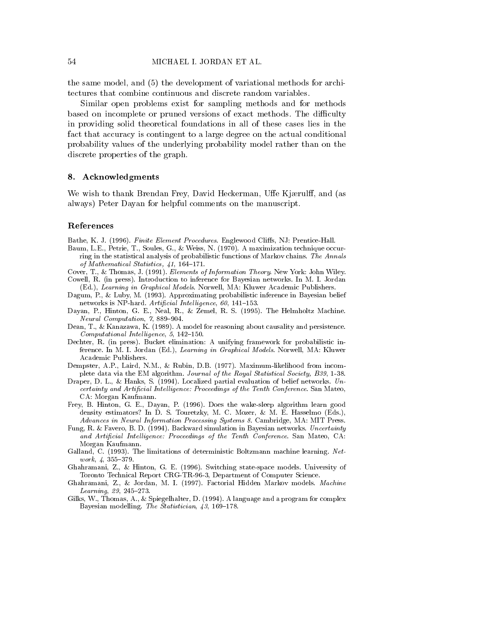the same model, and (5) the development of variational methods for architectures that combine continuous and discrete random variables.

Similar open problems exist for sampling methods and for methods based on incomplete or pruned versions of exact methods. The difficulty in providing solid theoretical foundations in all of these cases lies in the fact that accuracy is contingent to a large degree on the actual conditional probability values of the underlying probability model rather than on the discrete properties of the graph.

# 8. Acknowledgments

We wish to thank Brendan Frey, David Heckerman, Uffe Kjærulff, and (as always) Peter Dayan for helpful comments on the manuscript.

# References

Bathe, K. J. (1996). Finite Element Procedures. Englewood Cliffs, NJ: Prentice-Hall.

- Baum, L.E., Petrie, T., Soules, G., & Weiss, N. (1970). A maximization technique occurring in the statistical analysis of probabilistic functions of Markov chains. The Annals of Mathematical Statistics,  $41, 164-171$ .
- Cover, T., & Thomas, J. (1991). Elements of Information Theory. New York: John Wiley.
- Cowell, R. (in press). Introduction to inference for Bayesian networks. In M. I. Jordan (Ed.), Learning in Graphical Models. Norwell, MA: Kluwer Academic Publishers.
- Dagum, P., & Luby, M. (1993). Approximating probabilistic inference in Bayesian belief networks is NP-hard. Artificial Intelligence, 60, 141-153.
- Dayan, P., Hinton, G. E., Neal, R., & Zemel, R. S. (1995). The Helmholtz Machine. Neural Computation, 7, 889-904.
- Dean, T., & Kanazawa, K. (1989). A model for reasoning about causality and persistence.  $Computational\ Intelligence, 5, 142–150.$
- Dechter, R. (in press). Bucket elimination: A unifying framework for probabilistic inference. In M. I. Jordan (Ed.), *Learning in Graphical Models*. Norwell, MA: Kluwer Academic Publishers.
- Dempster, A.P., Laird, N.M., & Rubin, D.B. (1977). Maximum-likelihood from incomplete data via the EM algorithm. Journal of the Royal Statistical Society, B39, 1-38.
- Draper, D. L., & Hanks, S. (1994). Localized partial evaluation of belief networks.  $Un$ certainty and Artificial Intelligence: Proceedings of the Tenth Conference. San Mateo, CA: Morgan Kaufmann.
- Frey, B. Hinton, G. E., Dayan, P. (1996). Does the wake-sleep algorithm learn good density estimators? In D. S. Touretzky, M. C. Mozer, & M. E. Hasselmo (Eds.), Advances in Neural Information Processing Systems 8. Cambridge, MA: MIT Press.
- Fung, R. & Favero, B. D. (1994). Backward simulation in Bayesian networks. Uncertainty and Artificial Intelligence: Proceedings of the Tenth Conference. San Mateo, CA: Morgan Kaufmann.
- Galland, C. (1993). The limitations of deterministic Boltzmann machine learning. Net $work, 4, 355{-}379.$
- Ghahramani, Z., & Hinton,G. E. (1996). Switching state-space models. University of Toronto Technical Report CRG-TR-96-3, Department of Computer Science.
- Ghahramani, Z., & Jordan, M. I. (1997). Factorial Hidden Markov models. Machine  $Learning, 29, 245-273.$
- Gilks, W., Thomas, A., & Spiegelhalter, D. (1994). A language and a program for complex Bayesian modelling. The Statistician,  $43, 169-178$ .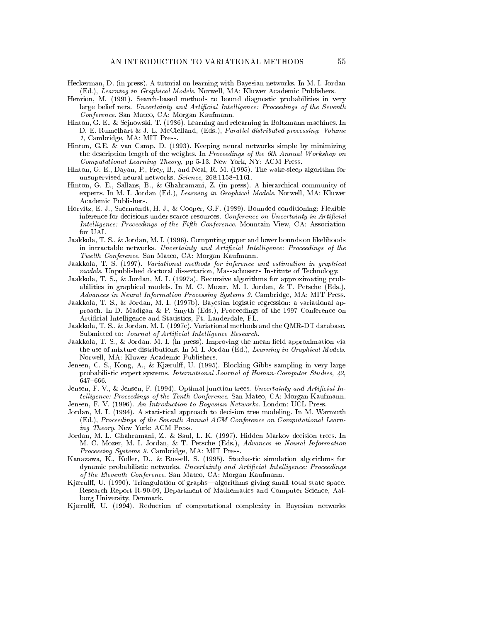- Heckerman, D. (in press). A tutorial on learning with Bayesian networks. In M. I. Jordan (Ed.), Learning in Graphical Models. Norwell, MA: Kluwer Academic Publishers.
- Henrion, M. (1991). Search-based methods to bound diagnostic probabilities in very large belief nets. Uncertainty and Artificial Intelligence: Proceedings of the Seventh Conference. San Mateo, CA: Morgan Kaufmann.
- Hinton, G. E., & Sejnowski, T. (1986). Learning and relearning in Boltzmann machines. In D. E. Rumelhart & J. L. McClelland, (Eds.), Parallel distributed processing: Volume 1, Cambridge, MA: MIT Press.
- Hinton, G.E. & van Camp, D. (1993). Keeping neural networks simple by minimizing the description length of the weights. In Proceedings of the 6th Annual Workshop on Computational Learning Theory, pp 5-13. New York, NY: ACM Press.
- Hinton, G. E., Dayan, P., Frey, B., and Neal, R. M. (1995). The wake-sleep algorithm for unsupervised neural networks. Science, 268:1158-1161.
- Hinton, G. E., Sallans, B., & Ghahramani, Z. (in press). A hierarchical community of experts. In M. I. Jordan (Ed.), Learning in Graphical Models. Norwell, MA: Kluwer Academic Publishers.
- Horvitz, E. J., Suermondt, H. J., & Cooper, G.F. (1989). Bounded conditioning: Flexible inference for decisions under scarce resources. Conference on Uncertainty in Artificial Intelligence: Proceedings of the Fifth Conference. Mountain View, CA: Association for UAI.
- Jaakkola, T. S., & Jordan, M. I. (1996). Computing upper and lower bounds on likelihoods in intractable networks. Uncertainty and Artificial Intelligence: Proceedings of the Twelth Conference. San Mateo, CA: Morgan Kaufmann.
- Jaakkola, T. S. (1997). Variational methods for inference and estimation in graphical models. Unpublished doctoral dissertation, Massachusetts Institute of Technology.
- Jaakkola, T. S., & Jordan, M. I. (1997a). Recursive algorithms for approximating probabilities in graphical models. In M. C. Mozer, M. I. Jordan, & T. Petsche (Eds.), Advances in Neural Information Processing Systems 9. Cambridge, MA: MIT Press.
- Jaakkola, T. S., & Jordan, M. I. (1997b). Bayesian logistic regression: a variational approach. In D. Madigan & P. Smyth (Eds.), Proceedings of the 1997 Conference on Articial Intelligence and Statistics, Ft. Lauderdale, FL.
- Jaakkola, T. S., & Jordan. M. I. (1997c). Variational methods and the QMR-DT database. Submitted to: Journal of Artificial Intelligence Research.
- Jaakkola, T. S.,  $\&$  Jordan. M. I. (in press). Improving the mean field approximation via the use of mixture distributions. In M. I. Jordan (Ed.), Learning in Graphical Models. Norwell, MA: Kluwer Academic Publishers.
- Jensen, C. S., Kong, A., & Kjærulff, U. (1995). Blocking-Gibbs sampling in very large probabilistic expert systems. International Journal of Human-Computer Studies, 42, 647-666.
- Jensen, F. V., & Jensen, F. (1994). Optimal junction trees. Uncertainty and Artificial Intelligence: Proceedings of the Tenth Conference. San Mateo, CA: Morgan Kaufmann. Jensen, F. V. (1996). An Introduction to Bayesian Networks. London: UCL Press.
- Jordan, M. I. (1994). A statistical approach to decision tree modeling. In M. Warmuth (Ed.), Proceedings of the Seventh Annual ACM Conference on Computational Learning Theory. New York: ACM Press.
- Jordan, M. I., Ghahramani, Z., & Saul, L. K. (1997). Hidden Markov decision trees. In M. C. Mozer, M. I. Jordan, & T. Petsche (Eds.), Advances in Neural Information Processing Systems 9. Cambridge, MA: MIT Press.
- Kanazawa, K., Koller, D., & Russell, S. (1995). Stochastic simulation algorithms for dynamic probabilistic networks. Uncertainty and Artificial Intelligence: Proceedings of the Eleventh Conference. San Mateo, CA: Morgan Kaufmann.
- Kjærulff, U. (1990). Triangulation of graphs—algorithms giving small total state space. Research Report R-90-09, Department of Mathematics and Computer Science, Aalborg University, Denmark.
- Kjærulff, U. (1994). Reduction of computational complexity in Bayesian networks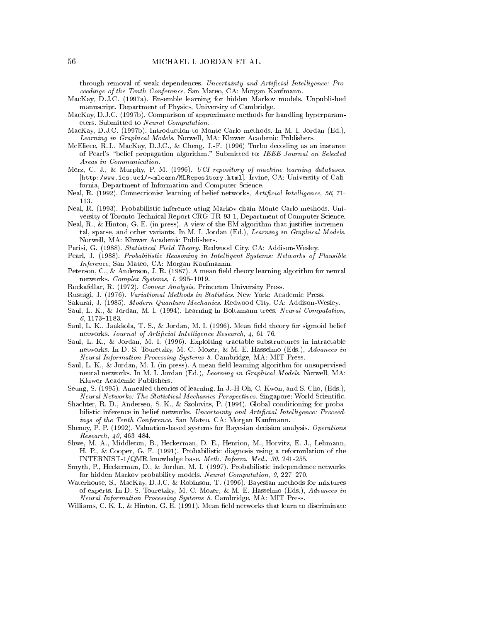through removal of weak dependences. Uncertainty and Artificial Intelligence: Proceedings of the Tenth Conference. San Mateo, CA: Morgan Kaufmann.

- MacKay, D.J.C. (1997a). Ensemble learning for hidden Markov models. Unpublished manuscript. Department of Physics, University of Cambridge.
- MacKay, D.J.C. (1997b). Comparison of approximate methods for handling hyperparameters. Submitted to Neural Computation.
- MacKay, D.J.C. (1997b). Introduction to Monte Carlo methods. In M. I. Jordan (Ed.), Learning in Graphical Models. Norwell, MA: Kluwer Academic Publishers.
- McEliece, R.J., MacKay, D.J.C., & Cheng, J.-F. (1996) Turbo decoding as an instance of Pearl's "belief propagation algorithm." Submitted to: IEEE Journal on Selected Areas in Communication.
- Merz, C. J., & Murphy, P. M.  $(1996)$ . UCI repository of machine learning databases. [http:/www.ics.uci/mlearn/MLRepository.html]. Irvine, CA: University of California, Department of Information and Computer Science.
- Neal, R. (1992). Connectionist learning of belief networks, Artificial Intelligence, 56, 71-113.
- Neal, R. (1993). Probabilistic inference using Markov chain Monte Carlo methods. Uni versity of Toronto Technical Report CRG-TR-93-1, Department of Computer Science.
- Neal, R., & Hinton, G. E. (in press). A view of the EM algorithm that justifies incremental, sparse, and other variants. In M. I. Jordan (Ed.), Learning in Graphical Models. Norwell, MA: Kluwer Academic Publishers.
- Parisi, G. (1988). Statistical Field Theory. Redwood City, CA: Addison-Wesley.
- Pearl, J. (1988). Probabilistic Reasoning in Intelligent Systems: Networks of Plausible Inference, San Mateo, CA: Morgan Kaufmannn.
- Peterson, C., & Anderson, J. R. (1987). A mean field theory learning algorithm for neural networks. Complex Systems, 1, 995-1019.
- Rockafellar, R. (1972). Convex Analysis. Princeton University Press.
- Rustagi, J. (1976). Variational Methods in Statistics. New York: Academic Press.
- Sakurai, J. (1985). Modern Quantum Mechanics. Redwood City, CA: Addison-Wesley.
- Saul, L. K., & Jordan, M. I. (1994). Learning in Boltzmann trees. Neural Computation,  $6, 1173 - 1183.$
- Saul, L. K., Jaakkola, T. S., & Jordan, M. I. (1996). Mean field theory for sigmoid belief networks. Journal of Artificial Intelligence Research,  $\mu$ , 61-76.
- Saul, L. K.,  $\&$  Jordan, M. I. (1996). Exploiting tractable substructures in intractable networks. In D. S. Touretzky, M. C. Mozer, & M. E. Hasselmo (Eds.), Advances in Neural Information Processing Systems 8. Cambridge, MA: MIT Press.
- Saul, L. K., & Jordan, M. I. (in press). A mean field learning algorithm for unsupervised neural networks. In M. I. Jordan (Ed.), Learning in Graphical Models. Norwell, MA: Kluwer Academic Publishers.
- Seung, S. (1995). Annealed theories of learning. In J.-H Oh, C. Kwon, and S. Cho, (Eds.), Neural Networks: The Statistical Mechanics Perspectives. Singapore: World Scientic.
- Shachter, R. D., Andersen, S. K., & Szolovits, P. (1994). Global conditioning for probabilistic inference in belief networks. Uncertainty and Artificial Intelligence: Proceedings of the Tenth Conference. San Mateo, CA: Morgan Kaufmann.
- Shenoy, P. P. (1992). Valuation-based systems for Bayesian decision analysis. Operations  $Research, 40, 463-484.$
- Shwe, M. A., Middleton, B., Heckerman, D. E., Henrion, M., Horvitz, E. J., Lehmann, H. P., & Cooper, G. F. (1991). Probabilistic diagnosis using a reformulation of the INTERNIST-1/QMR knowledge base. Meth. Inform. Med., 30, 241-255.
- Smyth, P., Heckerman, D., & Jordan, M. I. (1997). Probabilistic independence networks for hidden Markov probability models. Neural Computation, 9, 227-270.
- Waterhouse, S., MacKay, D.J.C. & Robinson, T. (1996). Bayesian methods for mixtures of experts. In D. S. Touretzky, M. C. Mozer, & M. E. Hasselmo (Eds.), Advances in Neural Information Processing Systems 8. Cambridge, MA: MIT Press.
- Williams, C. K. I., & Hinton, G. E. (1991). Mean field networks that learn to discriminate